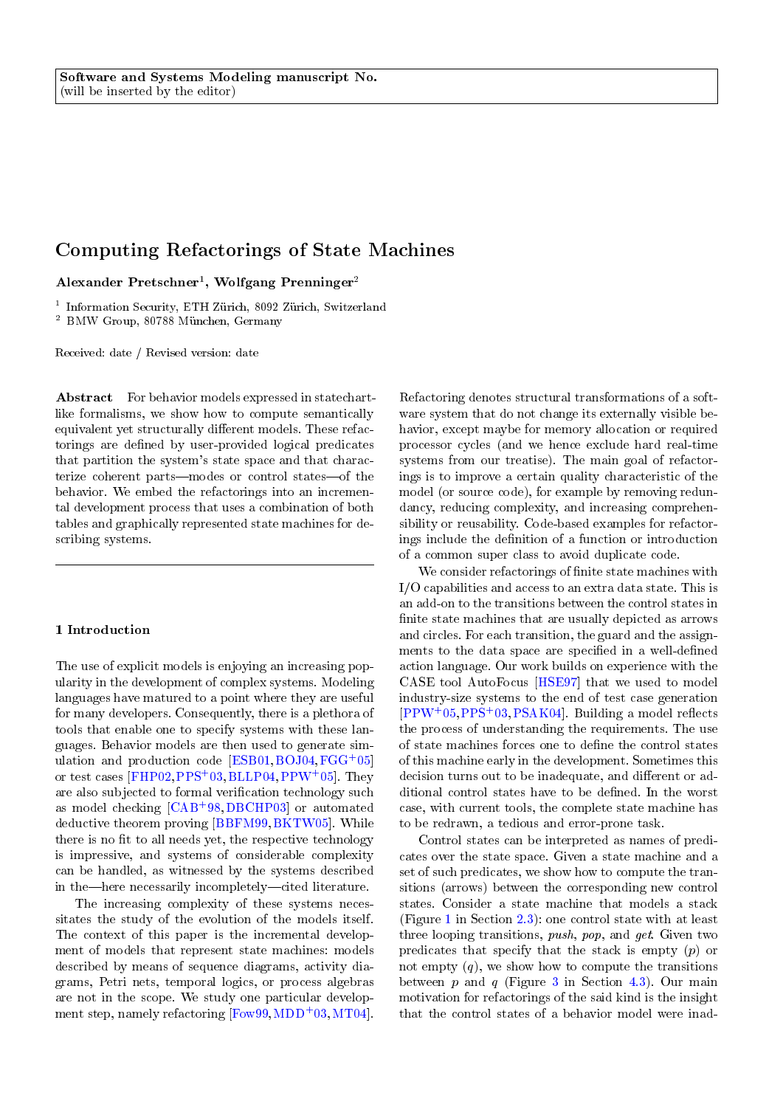# Computing Refactorings of State Machines

 ${\bf Alexander \; Pretschner^1, \; Wolfgang \; Prenninger^2}$ 

<sup>1</sup> Information Security, ETH Zürich, 8092 Zürich, Switzerland <sup>2</sup> BMW Group, 80788 München, Germany

Received: date / Revised version: date

Abstract For behavior models expressed in statechartlike formalisms, we show how to compute semantically equivalent yet structurally different models. These refactorings are defined by user-provided logical predicates that partition the system's state space and that characterize coherent parts—modes or control states—of the behavior. We embed the refactorings into an incremental development process that uses a combination of both tables and graphically represented state machines for describing systems.

# <span id="page-0-0"></span>1 Introduction

The use of explicit models is enjoying an increasing popularity in the development of complex systems. Modeling languages have matured to a point where they are useful for many developers. Consequently, there is a plethora of tools that enable one to specify systems with these languages. Behavior models are then used to generate simulation and production code  $[ESB01, BOJ04, FGG<sup>+</sup>05]$  $[ESB01, BOJ04, FGG<sup>+</sup>05]$  $[ESB01, BOJ04, FGG<sup>+</sup>05]$  $[ESB01, BOJ04, FGG<sup>+</sup>05]$  $[ESB01, BOJ04, FGG<sup>+</sup>05]$  $[ESB01, BOJ04, FGG<sup>+</sup>05]$ or test cases  $[FHP02,PPS<sup>+</sup>03, BLLP04, PPW<sup>+</sup>05]$  $[FHP02,PPS<sup>+</sup>03, BLLP04, PPW<sup>+</sup>05]$  $[FHP02,PPS<sup>+</sup>03, BLLP04, PPW<sup>+</sup>05]$  $[FHP02,PPS<sup>+</sup>03, BLLP04, PPW<sup>+</sup>05]$  $[FHP02,PPS<sup>+</sup>03, BLLP04, PPW<sup>+</sup>05]$  $[FHP02,PPS<sup>+</sup>03, BLLP04, PPW<sup>+</sup>05]$  $[FHP02,PPS<sup>+</sup>03, BLLP04, PPW<sup>+</sup>05]$ . They are also subjected to formal verification technology such as model checking [\[CAB](#page-15-5)<sup>+</sup>98,[DBCHP03\]](#page-15-6) or automated deductive theorem proving [\[BBFM99,](#page-15-7)[BKTW05\]](#page-15-8). While there is no fit to all needs yet, the respective technology is impressive, and systems of considerable complexity can be handled, as witnessed by the systems described in the—here necessarily incompletely—cited literature.

The increasing complexity of these systems necessitates the study of the evolution of the models itself. The context of this paper is the incremental development of models that represent state machines: models described by means of sequence diagrams, activity diagrams, Petri nets, temporal logics, or process algebras are not in the scope. We study one particular development step, namely refactoring  $[Flow99, MDD<sup>+</sup>03, MT04]$  $[Flow99, MDD<sup>+</sup>03, MT04]$  $[Flow99, MDD<sup>+</sup>03, MT04]$  $[Flow99, MDD<sup>+</sup>03, MT04]$ .

Refactoring denotes structural transformations of a software system that do not change its externally visible behavior, except maybe for memory allocation or required processor cycles (and we hence exclude hard real-time systems from our treatise). The main goal of refactorings is to improve a certain quality characteristic of the model (or source code), for example by removing redundancy, reducing complexity, and increasing comprehensibility or reusability. Code-based examples for refactorings include the definition of a function or introduction of a common super class to avoid duplicate code.

We consider refactorings of finite state machines with I/O capabilities and access to an extra data state. This is an add-on to the transitions between the control states in finite state machines that are usually depicted as arrows and circles. For each transition, the guard and the assignments to the data space are specified in a well-defined action language. Our work builds on experience with the CASE tool AutoFocus [\[HSE97\]](#page-16-4) that we used to model industry-size systems to the end of test case generation  $[PPW<sup>+</sup>05, PPS<sup>+</sup>03, PSAK04]$  $[PPW<sup>+</sup>05, PPS<sup>+</sup>03, PSAK04]$  $[PPW<sup>+</sup>05, PPS<sup>+</sup>03, PSAK04]$  $[PPW<sup>+</sup>05, PPS<sup>+</sup>03, PSAK04]$ . Building a model reflects the process of understanding the requirements. The use of state machines forces one to dene the control states of this machine early in the development. Sometimes this decision turns out to be inadequate, and different or additional control states have to be defined. In the worst case, with current tools, the complete state machine has to be redrawn, a tedious and error-prone task.

Control states can be interpreted as names of predicates over the state space. Given a state machine and a set of such predicates, we show how to compute the transitions (arrows) between the corresponding new control states. Consider a state machine that models a stack (Figure [1](#page-2-0) in Section [2.3\)](#page-2-1): one control state with at least three looping transitions, push, pop, and get. Given two predicates that specify that the stack is empty (p) or not empty  $(q)$ , we show how to compute the transitions between  $p$  and  $q$  (Figure [3](#page-5-0) in Section [4.3\)](#page-5-1). Our main motivation for refactorings of the said kind is the insight that the control states of a behavior model were inad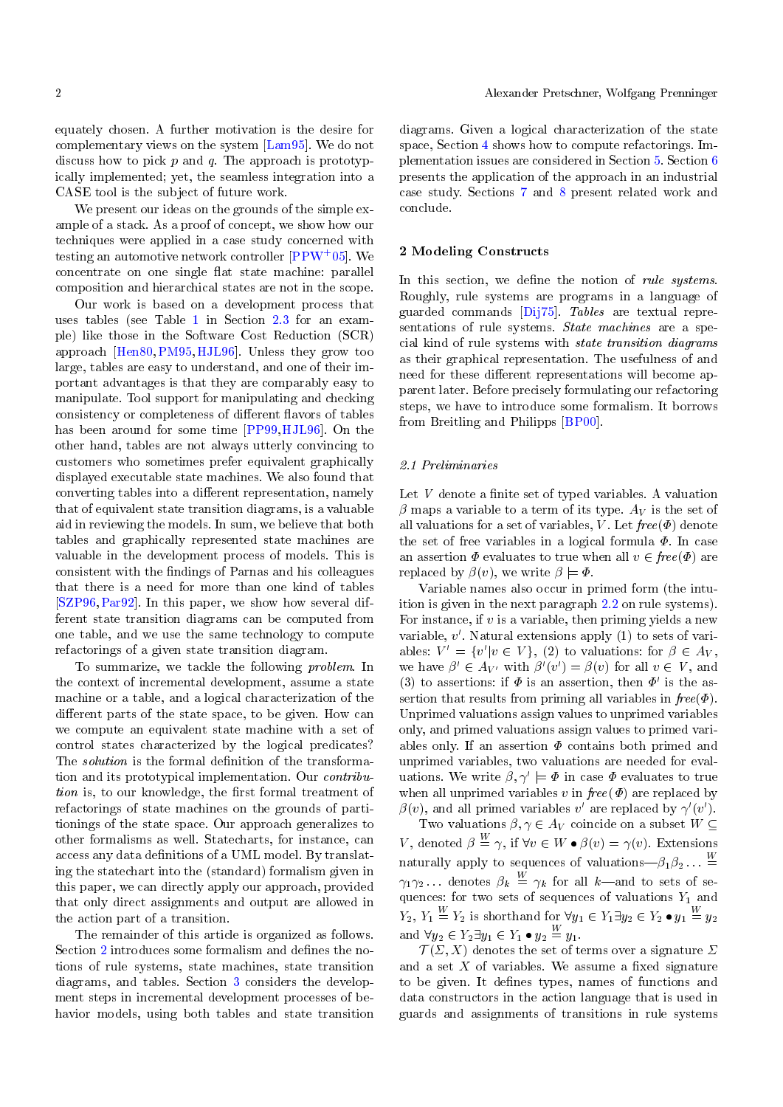equately chosen. A further motivation is the desire for complementary views on the system [\[Lam95\]](#page-16-6). We do not discuss how to pick  $p$  and  $q$ . The approach is prototypically implemented; yet, the seamless integration into a CASE tool is the subject of future work.

We present our ideas on the grounds of the simple example of a stack. As a proof of concept, we show how our techniques were applied in a case study concerned with testing an automotive network controller  $[PPW<sup>+</sup>05]$  $[PPW<sup>+</sup>05]$ . We concentrate on one single flat state machine: parallel composition and hierarchical states are not in the scope.

Our work is based on a development process that uses tables (see Table [1](#page-3-0) in Section [2.3](#page-2-1) for an example) like those in the Software Cost Reduction (SCR) approach [\[Hen80,](#page-15-10)[PM95,](#page-16-7)[HJL96\]](#page-16-8). Unless they grow too large, tables are easy to understand, and one of their important advantages is that they are comparably easy to manipulate. Tool support for manipulating and checking consistency or completeness of different flavors of tables has been around for some time [\[PP99,](#page-16-9)[HJL96\]](#page-16-8). On the other hand, tables are not always utterly convincing to customers who sometimes prefer equivalent graphically displayed executable state machines. We also found that converting tables into a different representation, namely that of equivalent state transition diagrams, is a valuable aid in reviewing the models. In sum, we believe that both tables and graphically represented state machines are valuable in the development process of models. This is consistent with the findings of Parnas and his colleagues that there is a need for more than one kind of tables [\[SZP96,](#page-16-10)[Par92\]](#page-16-11). In this paper, we show how several different state transition diagrams can be computed from one table, and we use the same technology to compute refactorings of a given state transition diagram.

To summarize, we tackle the following problem. In the context of incremental development, assume a state machine or a table, and a logical characterization of the different parts of the state space, to be given. How can we compute an equivalent state machine with a set of control states characterized by the logical predicates? The *solution* is the formal definition of the transformation and its prototypical implementation. Our contribu*tion* is, to our knowledge, the first formal treatment of refactorings of state machines on the grounds of partitionings of the state space. Our approach generalizes to other formalisms as well. Statecharts, for instance, can access any data definitions of a UML model. By translating the statechart into the (standard) formalism given in this paper, we can directly apply our approach, provided that only direct assignments and output are allowed in the action part of a transition.

The remainder of this article is organized as follows. Section [2](#page-1-0) introduces some formalism and defines the notions of rule systems, state machines, state transition diagrams, and tables. Section [3](#page-3-1) considers the development steps in incremental development processes of behavior models, using both tables and state transition

diagrams. Given a logical characterization of the state space, Section [4](#page-4-0) shows how to compute refactorings. Implementation issues are considered in Section [5.](#page-7-0) Section [6](#page-9-0) presents the application of the approach in an industrial case study. Sections [7](#page-13-0) and [8](#page-14-0) present related work and conclude.

# <span id="page-1-0"></span>2 Modeling Constructs

In this section, we define the notion of *rule systems*. Roughly, rule systems are programs in a language of guarded commands [\[Dij75\]](#page-15-11). Tables are textual representations of rule systems. State machines are a special kind of rule systems with state transition diagrams as their graphical representation. The usefulness of and need for these different representations will become apparent later. Before precisely formulating our refactoring steps, we have to introduce some formalism. It borrows from Breitling and Philipps [\[BP00\]](#page-15-12).

## 2.1 Preliminaries

Let  $V$  denote a finite set of typed variables. A valuation  $\beta$  maps a variable to a term of its type.  $A_V$  is the set of all valuations for a set of variables, V. Let  $free(\Phi)$  denote the set of free variables in a logical formula  $\Phi$ . In case an assertion  $\Phi$  evaluates to true when all  $v \in free(\Phi)$  are replaced by  $\beta(v)$ , we write  $\beta \models \Phi$ .

Variable names also occur in primed form (the intuition is given in the next paragraph [2.2](#page-2-2) on rule systems). For instance, if  $v$  is a variable, then priming yields a new variable,  $v'$ . Natural extensions apply  $(1)$  to sets of variables:  $V' = \{v'|v \in V\},\$  (2) to valuations: for  $\beta \in A_V$ , we have  $\beta' \in A_{V'}$  with  $\beta'(v') = \beta(v)$  for all  $v \in V$ , and (3) to assertions: if  $\Phi$  is an assertion, then  $\Phi'$  is the assertion that results from priming all variables in  $free(\Phi)$ . Unprimed valuations assign values to unprimed variables only, and primed valuations assign values to primed variables only. If an assertion  $\Phi$  contains both primed and unprimed variables, two valuations are needed for evaluations. We write  $\beta, \gamma' \models \Phi$  in case  $\Phi$  evaluates to true when all unprimed variables v in  $free(\Phi)$  are replaced by  $\beta(v)$ , and all primed variables v' are replaced by  $\gamma'(v')$ .

Two valuations  $\beta, \gamma \in A_V$  coincide on a subset  $W \subseteq$ V, denoted  $\beta \stackrel{W}{=} \gamma$ , if  $\forall v \in W \bullet \beta(v) = \gamma(v)$ . Extensions naturally apply to sequences of valuations— $\beta_1\beta_2\ldots$   $\stackrel{W}{=}$  $\gamma_1\gamma_2\ldots$  denotes  $\beta_k \stackrel{W}{=} \gamma_k$  for all k—and to sets of sequences: for two sets of sequences of valuations  $Y_1$  and  $Y_2, Y_1 \stackrel{W}{=} Y_2$  is shorthand for  $\forall y_1 \in Y_1 \exists y_2 \in Y_2 \bullet y_1 \stackrel{W}{=} y_2$ and  $\forall y_2 \in Y_2 \exists y_1 \in Y_1 \bullet y_2 \stackrel{W}{=} y_1$ .

 $\mathcal{T}(\Sigma, X)$  denotes the set of terms over a signature  $\Sigma$ and a set  $X$  of variables. We assume a fixed signature to be given. It defines types, names of functions and data constructors in the action language that is used in guards and assignments of transitions in rule systems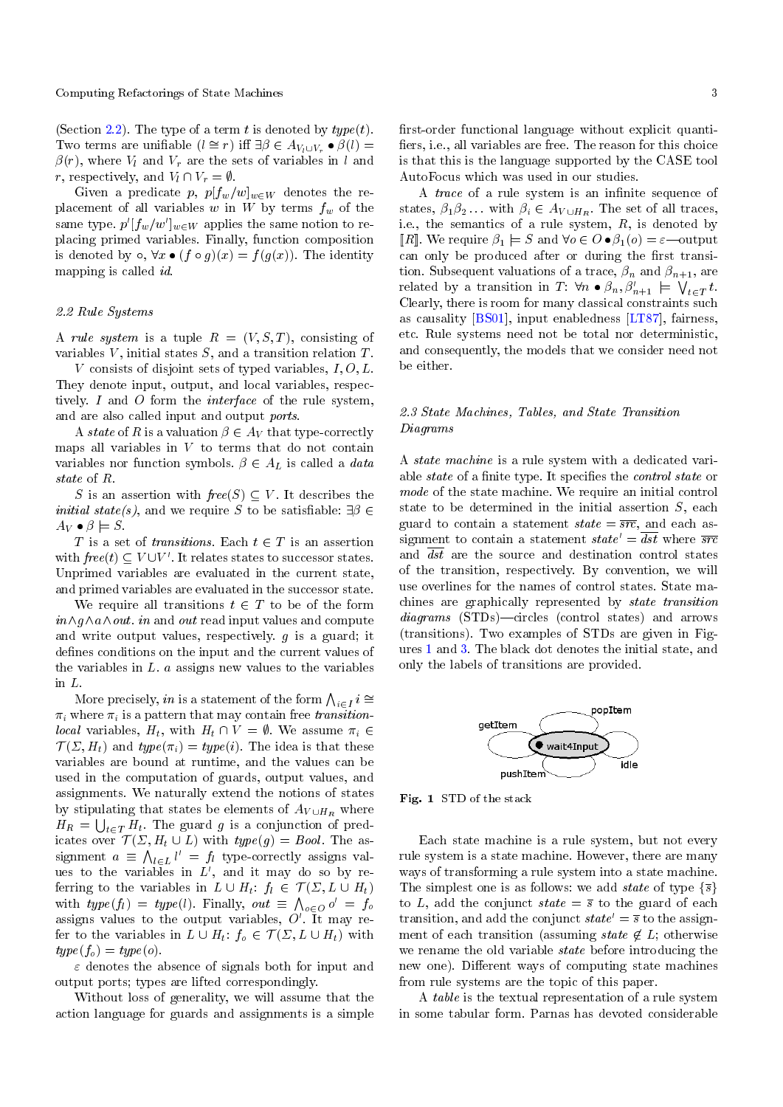(Section [2.2\)](#page-2-2). The type of a term t is denoted by  $type(t)$ . Two terms are unifiable  $(l \cong r)$  iff  $\exists \beta \in A_{V_l \cup V_r} \bullet \beta(l) =$  $\beta(r)$ , where  $V_l$  and  $V_r$  are the sets of variables in l and r, respectively, and  $V_l \cap V_r = \emptyset$ .

Given a predicate p,  $p[f_w/w]_{w\in W}$  denotes the replacement of all variables w in W by terms  $f_w$  of the same type.  $p'[f_w/w']_{w \in W}$  applies the same notion to replacing primed variables. Finally, function composition is denoted by  $\circ$ ,  $\forall x \bullet (f \circ g)(x) = f(g(x))$ . The identity mapping is called id.

#### <span id="page-2-2"></span>2.2 Rule Systems

A rule system is a tuple  $R = (V, S, T)$ , consisting of variables  $V$ , initial states  $S$ , and a transition relation  $T$ .

V consists of disjoint sets of typed variables,  $I, O, L$ . They denote input, output, and local variables, respectively. I and O form the interface of the rule system, and are also called input and output ports.

A state of R is a valuation  $\beta \in A_V$  that type-correctly maps all variables in  $V$  to terms that do not contain variables nor function symbols.  $\beta \in A_L$  is called a *data* state of R.

S is an assertion with  $free(S) \subset V$ . It describes the *initial state(s)*, and we require S to be satisfiable:  $\exists \beta \in$  $A_V \bullet \beta \models S$ .

T is a set of *transitions*. Each  $t \in T$  is an assertion with  $\text{free}(t) \subseteq V \cup V'$ . It relates states to successor states. Unprimed variables are evaluated in the current state, and primed variables are evaluated in the successor state.

We require all transitions  $t \in T$  to be of the form  $in\land g\land a\land out$ . in and out read input values and compute and write output values, respectively.  $g$  is a guard; it defines conditions on the input and the current values of the variables in  $L$ .  $a$  assigns new values to the variables in L.

More precisely, *in* is a statement of the form  $\bigwedge_{i \in I} i \cong$  $\pi_i$  where  $\pi_i$  is a pattern that may contain free transition*local* variables,  $H_t$ , with  $H_t \cap V = \emptyset$ . We assume  $\pi_i \in$  $\mathcal{T}(\Sigma, H_t)$  and  $type(\pi_i) = type(i)$ . The idea is that these variables are bound at runtime, and the values can be used in the computation of guards, output values, and assignments. We naturally extend the notions of states by stipulating that states be elements of  $A_{V \cup H_R}$  where  $H_R = \bigcup_{t \in T} H_t$ . The guard g is a conjunction of predicates over  $\mathcal{T}(\Sigma, H_t \cup L)$  with  $type(g) = Bool$ . The assignment  $a \equiv \bigwedge_{l \in L} l' = f_l$  type-correctly assigns values to the variables in  $L'$ , and it may do so by referring to the variables in  $L \cup H_t$ :  $f_l \in \mathcal{T} (\Sigma, L \cup H_t)$ with  $type(f_l) = type(l)$ . Finally,  $out \equiv \bigwedge_{o \in O} o' = f_o$ assigns values to the output variables,  $O'$ . It may refer to the variables in  $L \cup H_t$ :  $f_o \in \mathcal{T}(\Sigma, L \cup H_t)$  with  $type(f_o) = type(o).$ 

 $\varepsilon$  denotes the absence of signals both for input and output ports; types are lifted correspondingly.

Without loss of generality, we will assume that the action language for guards and assignments is a simple

first-order functional language without explicit quantifiers, i.e., all variables are free. The reason for this choice is that this is the language supported by the CASE tool AutoFocus which was used in our studies.

A trace of a rule system is an infinite sequence of states,  $\beta_1 \beta_2 \ldots$  with  $\beta_i \in A_{V \cup H_B}$ . The set of all traces, i.e., the semantics of a rule system,  $R$ , is denoted by [R]. We require  $\beta_1 \models S$  and  $\forall o \in O \bullet \beta_1(o) = \varepsilon$ —output can only be produced after or during the first transition. Subsequent valuations of a trace,  $\beta_n$  and  $\beta_{n+1}$ , are related by a transition in T:  $\forall n \bullet \beta_n, \beta'_{n+1} \models \bigvee_{t \in T} t$ . Clearly, there is room for many classical constraints such as causality [\[BS01\]](#page-15-13), input enabledness [\[LT87\]](#page-16-12), fairness, etc. Rule systems need not be total nor deterministic, and consequently, the models that we consider need not be either.

# <span id="page-2-1"></span>2.3 State Machines, Tables, and State Transition Diagrams

A state machine is a rule system with a dedicated variable *state* of a finite type. It specifies the *control state* or mode of the state machine. We require an initial control state to be determined in the initial assertion S, each guard to contain a statement  $state = \overline{src}$ , and each assignment to contain a statement  $state' = \overline{dst}$  where  $\overline{src}$ and  $\overline{dst}$  are the source and destination control states of the transition, respectively. By convention, we will use overlines for the names of control states. State machines are graphically represented by state transition  $diagrams$  (STDs)—circles (control states) and arrows (transitions). Two examples of STDs are given in Figures [1](#page-2-0) and [3.](#page-5-0) The black dot denotes the initial state, and only the labels of transitions are provided.



<span id="page-2-0"></span>Fig. 1 STD of the stack

Each state machine is a rule system, but not every rule system is a state machine. However, there are many ways of transforming a rule system into a state machine. The simplest one is as follows: we add *state* of type  $\{\overline{s}\}$ to L, add the conjunct state  $=\bar{s}$  to the guard of each transition, and add the conjunct  $state' = \overline{s}$  to the assignment of each transition (assuming *state*  $\notin L$ ; otherwise we rename the old variable *state* before introducing the new one). Different ways of computing state machines from rule systems are the topic of this paper.

A table is the textual representation of a rule system in some tabular form. Parnas has devoted considerable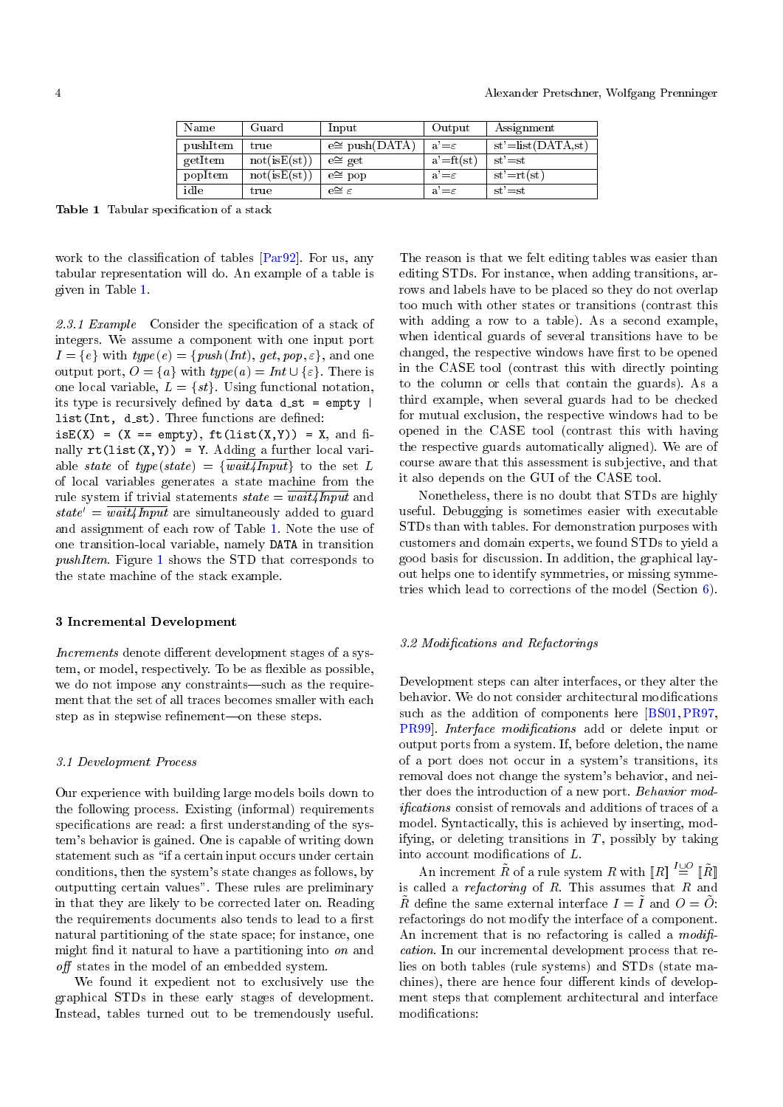| Name     | Guard              | Input                       | Output             | Assignment             |
|----------|--------------------|-----------------------------|--------------------|------------------------|
| pushItem | true               | $e \cong \text{push}(DATA)$ | $a' = \varepsilon$ | $st' = list(DATA, st)$ |
| getItem  | $not($ is $E(st))$ | $e \cong$ get               | $a' = ft(st)$      | $st' = st$             |
| popItem  | $not($ is $E(st))$ | $e \cong pop$               | $a' = \varepsilon$ | $st' = rt(st)$         |
| idle     | true               | $e \cong \varepsilon$       | $a' = \epsilon$    | $st' = st$             |

<span id="page-3-0"></span>Table 1 Tabular specification of a stack

work to the classification of tables [\[Par92\]](#page-16-11). For us, any tabular representation will do. An example of a table is given in Table [1.](#page-3-0)

2.3.1 Example Consider the specification of a stack of integers. We assume a component with one input port  $I = \{e\}$  with  $type(e) = \{push(Int), get, pop, \varepsilon\}$ , and one output port,  $O = \{a\}$  with  $type(a) = Int \cup \{\varepsilon\}$ . There is one local variable,  $L = \{st\}$ . Using functional notation, its type is recursively defined by data  $d$ \_st = empty | list(Int, d\_st). Three functions are defined:  $isE(X) = (X == empty), ft(list(X,Y)) = X, and fi$ nally  $rt(list(X,Y)) = Y.$  Adding a further local variable *state* of type(*state*) =  $\{\overline{wait \{Input\}}\}$  to the set L of local variables generates a state machine from the rule system if trivial statements  $state = \overline{wait \pm Input}$  and state' =  $\overline{wait \& Input}$  are simultaneously added to guard and assignment of each row of Table [1.](#page-3-0) Note the use of one transition-local variable, namely DATA in transition pushItem. Figure [1](#page-2-0) shows the STD that corresponds to the state machine of the stack example.

#### <span id="page-3-1"></span>3 Incremental Development

Increments denote different development stages of a system, or model, respectively. To be as flexible as possible, we do not impose any constraints—such as the requirement that the set of all traces becomes smaller with each step as in stepwise refinement—on these steps.

#### 3.1 Development Process

Our experience with building large models boils down to the following process. Existing (informal) requirements specifications are read: a first understanding of the system's behavior is gained. One is capable of writing down statement such as "if a certain input occurs under certain conditions, then the system's state changes as follows, by outputting certain values". These rules are preliminary in that they are likely to be corrected later on. Reading the requirements documents also tends to lead to a first natural partitioning of the state space; for instance, one might find it natural to have a partitioning into on and  $\eta$  states in the model of an embedded system.

We found it expedient not to exclusively use the graphical STDs in these early stages of development. Instead, tables turned out to be tremendously useful.

The reason is that we felt editing tables was easier than editing STDs. For instance, when adding transitions, arrows and labels have to be placed so they do not overlap too much with other states or transitions (contrast this with adding a row to a table). As a second example, when identical guards of several transitions have to be changed, the respective windows have first to be opened in the CASE tool (contrast this with directly pointing to the column or cells that contain the guards). As a third example, when several guards had to be checked for mutual exclusion, the respective windows had to be opened in the CASE tool (contrast this with having the respective guards automatically aligned). We are of course aware that this assessment is subjective, and that it also depends on the GUI of the CASE tool.

Nonetheless, there is no doubt that STDs are highly useful. Debugging is sometimes easier with executable STDs than with tables. For demonstration purposes with customers and domain experts, we found STDs to yield a good basis for discussion. In addition, the graphical layout helps one to identify symmetries, or missing symmetries which lead to corrections of the model (Section [6\)](#page-9-0).

#### 3.2 Modications and Refactorings

Development steps can alter interfaces, or they alter the behavior. We do not consider architectural modifications such as the addition of components here [\[BS01,](#page-15-13) [PR97,](#page-16-13) [PR99\]](#page-16-14). Interface modifications add or delete input or output ports from a system. If, before deletion, the name of a port does not occur in a system's transitions, its removal does not change the system's behavior, and neither does the introduction of a new port. Behavior mod*ifications* consist of removals and additions of traces of a model. Syntactically, this is achieved by inserting, modifying, or deleting transitions in  $T$ , possibly by taking into account modifications of  $L$ .

An increment  $\tilde{R}$  of a rule system R with  $\llbracket R \rrbracket \stackrel{I\cup O}{=} \llbracket \tilde{R} \rrbracket$ is called a *refactoring* of  $R$ . This assumes that  $R$  and  $\tilde{R}$  define the same external interface  $I = I$  and  $\tilde{Q} = \tilde{Q}$ : refactorings do not modify the interface of a component. An increment that is no refactoring is called a  $\textit{modifi}$ cation. In our incremental development process that relies on both tables (rule systems) and STDs (state machines), there are hence four different kinds of development steps that complement architectural and interface modifications: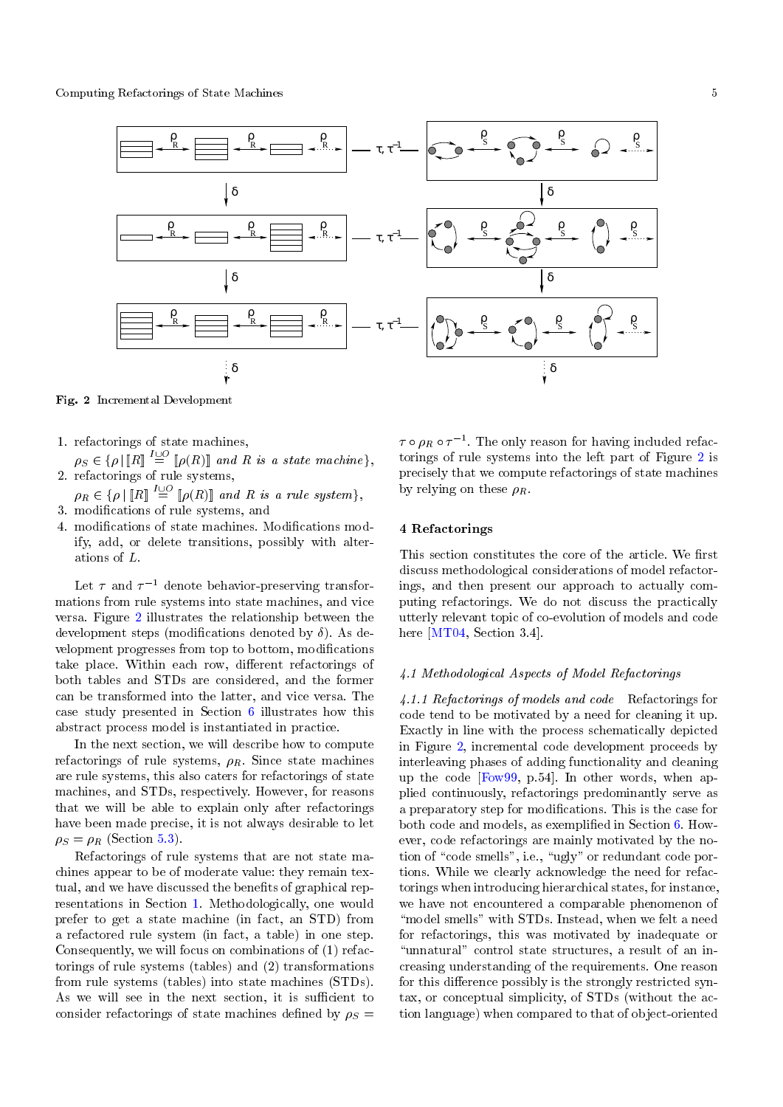

<span id="page-4-1"></span>Fig. 2 Incremental Development

- 1. refactorings of state machines,
- $\rho_S \in {\rho \, \|\, \mathbb{R} \|\,} \stackrel{I \cup O}{=} {\lbrack\! \lbrack \rho(R) \rbrack\! \rbrack}$  and R is a state machine}, 2. refactorings of rule systems,
	- $\rho_R \in {\rho \,|\, [R]^{I\cup O} \, [\rho(R)] \, and \, R \, is \, a \, rule \, system},$
- 3. modications of rule systems, and
- 4. modications of state machines. Modications modify, add, or delete transitions, possibly with alterations of L.

Let  $\tau$  and  $\tau^{-1}$  denote behavior-preserving transformations from rule systems into state machines, and vice versa. Figure [2](#page-4-1) illustrates the relationship between the development steps (modifications denoted by  $\delta$ ). As development progresses from top to bottom, modifications take place. Within each row, different refactorings of both tables and STDs are considered, and the former can be transformed into the latter, and vice versa. The case study presented in Section [6](#page-9-0) illustrates how this abstract process model is instantiated in practice.

In the next section, we will describe how to compute refactorings of rule systems,  $\rho_R$ . Since state machines are rule systems, this also caters for refactorings of state machines, and STDs, respectively. However, for reasons that we will be able to explain only after refactorings have been made precise, it is not always desirable to let  $\rho_S = \rho_R$  (Section [5.3\)](#page-8-0).

Refactorings of rule systems that are not state machines appear to be of moderate value: they remain textual, and we have discussed the benefits of graphical representations in Section [1.](#page-0-0) Methodologically, one would prefer to get a state machine (in fact, an STD) from a refactored rule system (in fact, a table) in one step. Consequently, we will focus on combinations of (1) refactorings of rule systems (tables) and (2) transformations from rule systems (tables) into state machines (STDs). As we will see in the next section, it is sufficient to consider refactorings of state machines defined by  $\rho_S =$ 

 $\tau \circ \rho_R \circ \tau^{-1}$ . The only reason for having included refactorings of rule systems into the left part of Figure [2](#page-4-1) is precisely that we compute refactorings of state machines by relying on these  $\rho_R$ .

# <span id="page-4-0"></span>4 Refactorings

This section constitutes the core of the article. We first discuss methodological considerations of model refactorings, and then present our approach to actually computing refactorings. We do not discuss the practically utterly relevant topic of co-evolution of models and code here [\[MT04,](#page-16-3) Section 3.4].

# <span id="page-4-2"></span>4.1 Methodological Aspects of Model Refactorings

4.1.1 Refactorings of models and code Refactorings for code tend to be motivated by a need for cleaning it up. Exactly in line with the process schematically depicted in Figure [2,](#page-4-1) incremental code development proceeds by interleaving phases of adding functionality and cleaning up the code [\[Fow99,](#page-15-9) p.54]. In other words, when applied continuously, refactorings predominantly serve as a preparatory step for modications. This is the case for both code and models, as exemplied in Section [6.](#page-9-0) However, code refactorings are mainly motivated by the notion of "code smells", i.e., "ugly" or redundant code portions. While we clearly acknowledge the need for refactorings when introducing hierarchical states, for instance, we have not encountered a comparable phenomenon of "model smells" with STDs. Instead, when we felt a need for refactorings, this was motivated by inadequate or "unnatural" control state structures, a result of an increasing understanding of the requirements. One reason for this difference possibly is the strongly restricted syntax, or conceptual simplicity, of STDs (without the action language) when compared to that of object-oriented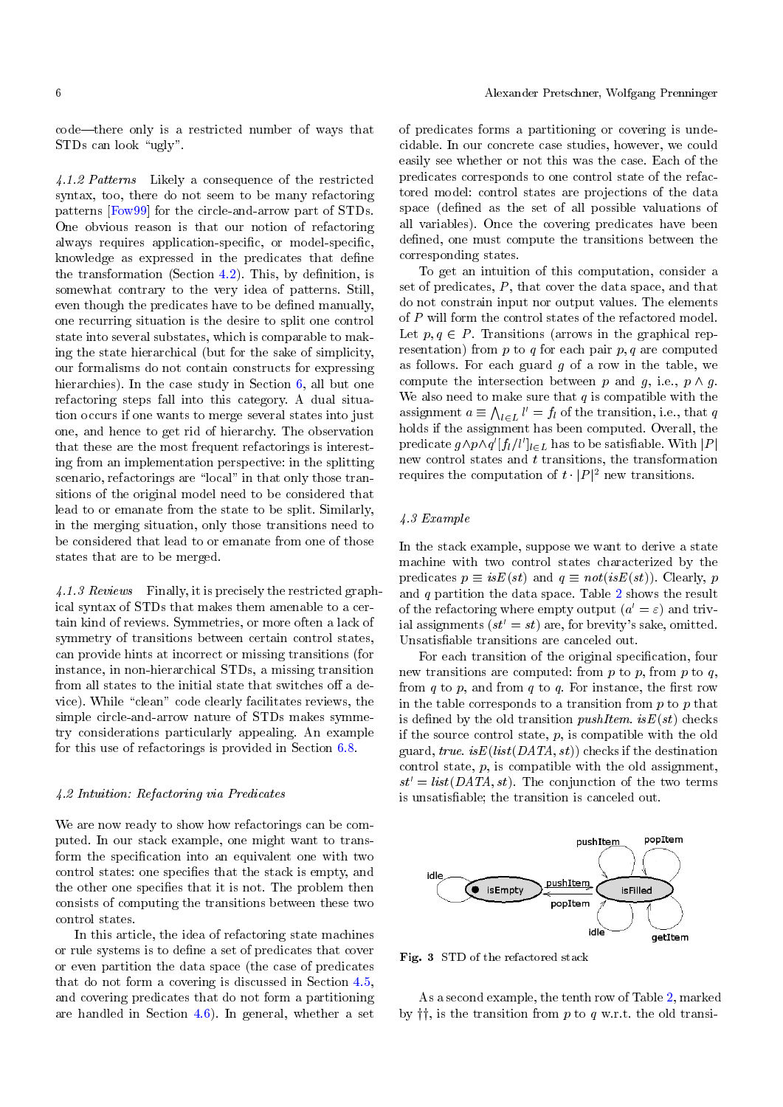code—there only is a restricted number of ways that STDs can look "ugly".

<span id="page-5-3"></span>4.1.2 Patterns Likely a consequence of the restricted syntax, too, there do not seem to be many refactoring patterns [\[Fow99\]](#page-15-9) for the circle-and-arrow part of STDs. One obvious reason is that our notion of refactoring always requires application-specific, or model-specific, knowledge as expressed in the predicates that define the transformation (Section  $4.2$ ). This, by definition, is somewhat contrary to the very idea of patterns. Still, even though the predicates have to be defined manually, one recurring situation is the desire to split one control state into several substates, which is comparable to making the state hierarchical (but for the sake of simplicity, our formalisms do not contain constructs for expressing hierarchies). In the case study in Section [6,](#page-9-0) all but one refactoring steps fall into this category. A dual situation occurs if one wants to merge several states into just one, and hence to get rid of hierarchy. The observation that these are the most frequent refactorings is interesting from an implementation perspective: in the splitting scenario, refactorings are "local" in that only those transitions of the original model need to be considered that lead to or emanate from the state to be split. Similarly, in the merging situation, only those transitions need to be considered that lead to or emanate from one of those states that are to be merged.

4.1.3 Reviews Finally, it is precisely the restricted graphical syntax of STDs that makes them amenable to a certain kind of reviews. Symmetries, or more often a lack of symmetry of transitions between certain control states, can provide hints at incorrect or missing transitions (for instance, in non-hierarchical STDs, a missing transition from all states to the initial state that switches off a device). While "clean" code clearly facilitates reviews, the simple circle-and-arrow nature of STDs makes symmetry considerations particularly appealing. An example for this use of refactorings is provided in Section [6.8.](#page-13-1)

## <span id="page-5-2"></span>4.2 Intuition: Refactoring via Predicates

We are now ready to show how refactorings can be computed. In our stack example, one might want to transform the specification into an equivalent one with two control states: one specifies that the stack is empty, and the other one specifies that it is not. The problem then consists of computing the transitions between these two control states.

In this article, the idea of refactoring state machines or rule systems is to define a set of predicates that cover or even partition the data space (the case of predicates that do not form a covering is discussed in Section [4.5,](#page-6-0) and covering predicates that do not form a partitioning are handled in Section [4.6\)](#page-6-1). In general, whether a set

of predicates forms a partitioning or covering is undecidable. In our concrete case studies, however, we could easily see whether or not this was the case. Each of the predicates corresponds to one control state of the refactored model: control states are projections of the data space (dened as the set of all possible valuations of all variables). Once the covering predicates have been defined, one must compute the transitions between the corresponding states.

To get an intuition of this computation, consider a set of predicates, P, that cover the data space, and that do not constrain input nor output values. The elements of P will form the control states of the refactored model. Let  $p, q \in P$ . Transitions (arrows in the graphical representation) from  $p$  to  $q$  for each pair  $p, q$  are computed as follows. For each guard  $g$  of a row in the table, we compute the intersection between p and g, i.e.,  $p \wedge g$ . We also need to make sure that  $q$  is compatible with the assignment  $a \equiv \bigwedge_{l \in L} l' = f_l$  of the transition, i.e., that q holds if the assignment has been computed. Overall, the predicate  $g \wedge p \wedge \overline{q'}[f_l/l']_{l \in L}$  has to be satisfiable. With  $|P|$ new control states and t transitions, the transformation requires the computation of  $t \cdot |P|^2$  new transitions.

# <span id="page-5-1"></span>4.3 Example

In the stack example, suppose we want to derive a state machine with two control states characterized by the predicates  $p \equiv i s E(st)$  and  $q \equiv not (is E(st))$ . Clearly, p and q partition the data space. Table [2](#page-6-2) shows the result of the refactoring where empty output  $(a' = \varepsilon)$  and trivial assignments ( $st' = st$ ) are, for brevity's sake, omitted. Unsatisable transitions are canceled out.

For each transition of the original specification, four new transitions are computed: from  $p$  to  $p$ , from  $p$  to  $q$ , from  $q$  to  $p$ , and from  $q$  to  $q$ . For instance, the first row in the table corresponds to a transition from  $p$  to  $p$  that is defined by the old transition *pushItem.* is  $E(st)$  checks if the source control state,  $p$ , is compatible with the old guard, true. is  $E(list(DATA, st))$  checks if the destination control state,  $p$ , is compatible with the old assignment,  $st' = list(DATA, st)$ . The conjunction of the two terms is unsatisfiable; the transition is canceled out.



<span id="page-5-0"></span>Fig. 3 STD of the refactored stack

As a second example, the tenth row of Table [2,](#page-6-2) marked by  $\dagger \dagger$ , is the transition from p to q w.r.t. the old transi-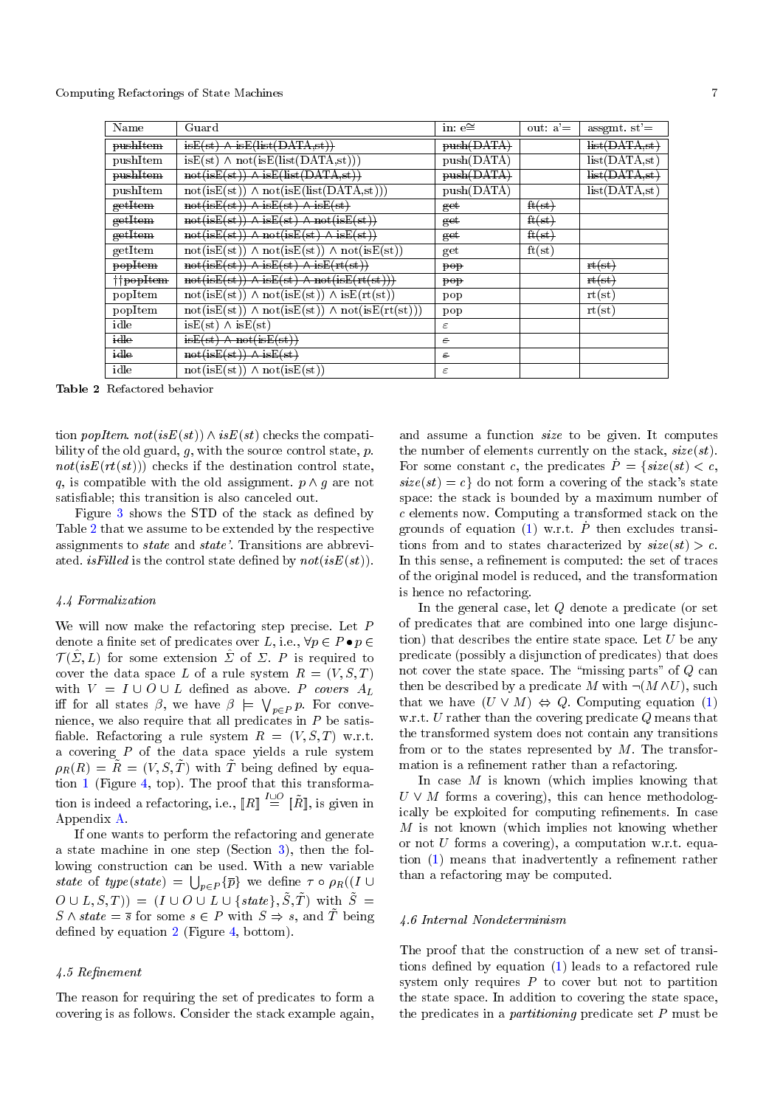| Name                  | Guard                                                                          | in $e \cong$   | out: $a' =$                       | $\operatorname{assignt. st'} =$ |
|-----------------------|--------------------------------------------------------------------------------|----------------|-----------------------------------|---------------------------------|
| pushItem              | $\overline{A}$ is $E(Hist(DATA, st))$<br>$i$ s $E(st)$                         | push(DATA)     |                                   | list(DATA, st)                  |
| pushItem              | $isE(st) \wedge not(isE(list(DATA,st)))$                                       | push(DATA)     |                                   | list(DATA, st)                  |
| pushItem              | $not(isE(st)) \wedge isE(list(DATA,st))$                                       | push(DATA)     |                                   | list(DATA, st)                  |
| pushItem              | $not(isE(st)) \wedge not(isE(list(DATA,st)))$                                  | push(DATA)     |                                   | list(DATA, st)                  |
| getHem                | $not(isE(st)) \wedge isE(st) \wedge isE(st)$                                   | get            | f(t(st))                          |                                 |
| getHem                | $not(isE(st)) \wedge isE(st) \wedge not(isE(st))$                              | get            | $f_{t}(st)$                       |                                 |
| getHem                | $not(isE(st)) \wedge not(isE(st) \wedge isE(st))$                              | get            | f(t(st))                          |                                 |
| getItem               | $not(isE(st)) \wedge not(isE(st)) \wedge not(isE(st))$                         | get            | $\overline{\text{ft}}(\text{st})$ |                                 |
| popItem               | $not(isE(st)) \wedge isE(st) \wedge isE(rt(st))$                               | <del>pop</del> |                                   | $\mathbf{r}$ t $(\mathbf{st})$  |
| tt <del>popItem</del> | $not(isE(st)) \wedge isE(st) \wedge not(isE(rt(st)))$                          | $\theta$       |                                   | $\mathbf{r}$ t $(\mathbf{st})$  |
| popItem               | $\overline{\text{not}(isE(st)) \wedge \text{not}(isE(st)) \wedge isE(rt(st))}$ | pop            |                                   | rt(st)                          |
| popItem               | $not(isE(st)) \wedge not(isE(st)) \wedge not(isE(rt)))$                        | pop            |                                   | rt(st)                          |
| idle                  | $isE(st) \wedge isE(st)$                                                       | ε              |                                   |                                 |
| idle                  | $i s E(st) \wedge not (i s E(st))$                                             | $\epsilon$     |                                   |                                 |
| idle                  | $not(isE(st)) \wedge isE(st)$                                                  | $\epsilon$     |                                   |                                 |
| idle                  | $not(isE(st)) \wedge not(isE(st))$                                             | ε              |                                   |                                 |

<span id="page-6-2"></span>Table 2 Refactored behavior

tion popItem.  $not(isE(st)) \wedge isE(st)$  checks the compatibility of the old guard,  $g$ , with the source control state,  $p$ .  $not(isE(rt))$ ) checks if the destination control state, q, is compatible with the old assignment.  $p \wedge q$  are not satisfiable; this transition is also canceled out.

Figure [3](#page-5-0) shows the STD of the stack as defined by Table [2](#page-6-2) that we assume to be extended by the respective assignments to state and state'. Transitions are abbreviated. *is Filled* is the control state defined by  $not(isE(st))$ .

# <span id="page-6-3"></span>4.4 Formalization

We will now make the refactoring step precise. Let P denote a finite set of predicates over L, i.e.,  $\forall p \in P \bullet p \in$  $\mathcal{T}(\hat{\Sigma}, L)$  for some extension  $\hat{\Sigma}$  of  $\Sigma$ . P is required to cover the data space L of a rule system  $R = (V, S, T)$ with  $V = I \cup O \cup L$  defined as above. P covers  $A_L$ iff for all states  $\beta$ , we have  $\beta \models \bigvee_{p \in P} p$ . For convenience, we also require that all predicates in  $P$  be satisfiable. Refactoring a rule system  $R = (V, S, T)$  w.r.t. a covering  $P$  of the data space yields a rule system  $\rho_R(R) = \tilde{R} = (V, S, \tilde{T})$  with  $\tilde{T}$  being defined by equation [1](#page-7-1) (Figure [4,](#page-7-2) top). The proof that this transformation is indeed a refactoring, i.e.,  $\llbracket R \rrbracket \stackrel{I\cup O}{=} \llbracket \tilde{R} \rrbracket$ , is given in Appendix [A.](#page-16-15)

If one wants to perform the refactoring and generate a state machine in one step (Section [3\)](#page-3-1), then the following construction can be used. With a new variable state of type(state) =  $\bigcup_{p\in P}\{\overline{p}\}\$ we define  $\tau \circ \rho_R((I\cup$  $O \cup L, S, T) = (I \cup O \cup L \cup \{state\}, \tilde{S}, \tilde{T})$  with  $\tilde{S}$  =  $S \wedge state = \overline{s}$  for some  $s \in P$  with  $S \Rightarrow s$ , and  $\tilde{T}$  being defined by equation  $2$  (Figure [4,](#page-7-2) bottom).

# <span id="page-6-0"></span>4.5 Renement

The reason for requiring the set of predicates to form a covering is as follows. Consider the stack example again, and assume a function size to be given. It computes the number of elements currently on the stack,  $size(st)$ . For some constant c, the predicates  $\dot{P} = \{size(st) < c,$  $size(st) = c$  do not form a covering of the stack's state space: the stack is bounded by a maximum number of c elements now. Computing a transformed stack on the grounds of equation [\(1\)](#page-7-1) w.r.t.  $\dot{P}$  then excludes transitions from and to states characterized by  $size(st) > c$ . In this sense, a refinement is computed: the set of traces of the original model is reduced, and the transformation is hence no refactoring.

In the general case, let Q denote a predicate (or set of predicates that are combined into one large disjunction) that describes the entire state space. Let  $U$  be any predicate (possibly a disjunction of predicates) that does not cover the state space. The "missing parts" of  $Q$  can then be described by a predicate M with  $\neg(M \wedge U)$ , such that we have  $(U \vee M) \Leftrightarrow Q$ . Computing equation [\(1\)](#page-7-1) w.r.t. U rather than the covering predicate Q means that the transformed system does not contain any transitions from or to the states represented by  $M$ . The transformation is a refinement rather than a refactoring.

In case M is known (which implies knowing that  $U \vee M$  forms a covering), this can hence methodologically be exploited for computing refinements. In case  $M$  is not known (which implies not knowing whether or not U forms a covering), a computation w.r.t. equa-tion [\(1\)](#page-7-1) means that inadvertently a refinement rather than a refactoring may be computed.

#### <span id="page-6-1"></span>4.6 Internal Nondeterminism

The proof that the construction of a new set of transitions defined by equation  $(1)$  leads to a refactored rule system only requires  $P$  to cover but not to partition the state space. In addition to covering the state space, the predicates in a partitioning predicate set P must be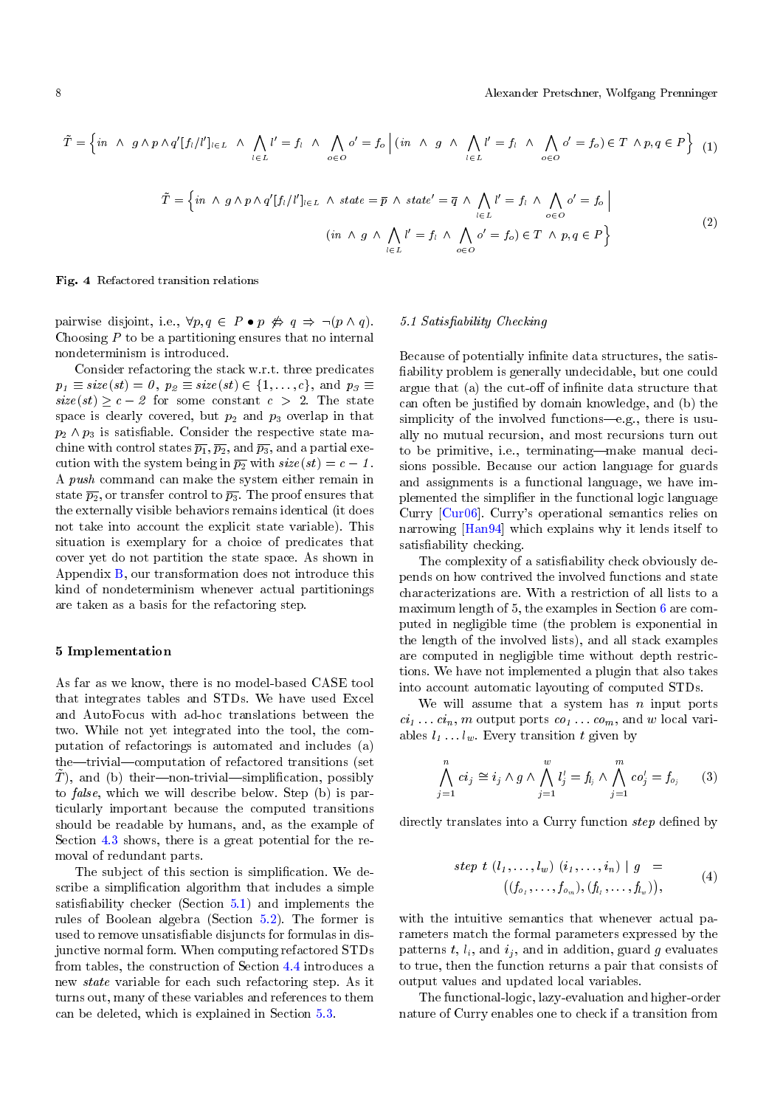8 Alexander Pretschner, Wolfgang Prenninger

<span id="page-7-3"></span><span id="page-7-1"></span>
$$
\tilde{T} = \left\{ in \ \land \ g \land p \land q'[f_l/l']_{l \in L} \land \bigwedge_{l \in L} l' = f_l \land \bigwedge_{o \in O} o' = f_o \; \middle| \; (in \ \land \ g \land \bigwedge_{l \in L} l' = f_l \land \bigwedge_{o \in O} o' = f_o) \in T \land p, q \in P \right\} \tag{1}
$$

$$
\tilde{T} = \left\{ in \land g \land p \land q'[f_l/l']_{l \in L} \land state = \overline{p} \land state' = \overline{q} \land \bigwedge_{l \in L} l' = f_l \land \bigwedge_{o \in O} o' = f_o \mid (in \land g \land \bigwedge_{l \in L} l' = f_l \land \bigwedge_{o \in O} o' = f_o) \in T \land p, q \in P \right\}
$$
\n
$$
(2)
$$

<span id="page-7-2"></span>Fig. 4 Refactored transition relations

pairwise disjoint, i.e.,  $\forall p, q \in P \bullet p \not\Leftrightarrow q \Rightarrow \neg(p \land q)$ . Choosing  $P$  to be a partitioning ensures that no internal nondeterminism is introduced.

Consider refactoring the stack w.r.t. three predicates  $p_1 \equiv size(st) = 0, p_2 \equiv size(st) \in \{1, \ldots, c\}, \text{ and } p_3 \equiv$  $size(st) \geq c - \ell$  for some constant  $c > 2$ . The state space is clearly covered, but  $p_2$  and  $p_3$  overlap in that  $p_2 \wedge p_3$  is satisfiable. Consider the respective state machine with control states  $\overline{p_1}$ ,  $\overline{p_2}$ , and  $\overline{p_3}$ , and a partial execution with the system being in  $\overline{p_2}$  with  $size(st) = c - 1$ . A push command can make the system either remain in state  $\overline{p_2}$ , or transfer control to  $\overline{p_3}$ . The proof ensures that the externally visible behaviors remains identical (it does not take into account the explicit state variable). This situation is exemplary for a choice of predicates that cover yet do not partition the state space. As shown in Appendix [B,](#page-17-0) our transformation does not introduce this kind of nondeterminism whenever actual partitionings are taken as a basis for the refactoring step.

## <span id="page-7-0"></span>5 Implementation

As far as we know, there is no model-based CASE tool that integrates tables and STDs. We have used Excel and AutoFocus with ad-hoc translations between the two. While not yet integrated into the tool, the computation of refactorings is automated and includes (a) the-trivial-computation of refactored transitions (set T), and (b) their—non-trivial—simplification, possibly to false, which we will describe below. Step (b) is particularly important because the computed transitions should be readable by humans, and, as the example of Section [4.3](#page-5-1) shows, there is a great potential for the removal of redundant parts.

The subject of this section is simplification. We describe a simplication algorithm that includes a simple satisfiability checker (Section [5.1\)](#page-7-4) and implements the rules of Boolean algebra (Section [5.2\)](#page-8-1). The former is used to remove unsatisfiable disjuncts for formulas in disjunctive normal form. When computing refactored STDs from tables, the construction of Section [4.4](#page-6-3) introduces a new state variable for each such refactoring step. As it turns out, many of these variables and references to them can be deleted, which is explained in Section [5.3.](#page-8-0)

# <span id="page-7-4"></span>5.1 Satisfiability Checking

Because of potentially infinite data structures, the satisability problem is generally undecidable, but one could argue that (a) the cut-off of infinite data structure that can often be justied by domain knowledge, and (b) the simplicity of the involved functions—e.g., there is usually no mutual recursion, and most recursions turn out to be primitive, i.e., terminating-make manual decisions possible. Because our action language for guards and assignments is a functional language, we have implemented the simplier in the functional logic language Curry [\[Cur06\]](#page-15-14). Curry's operational semantics relies on narrowing [\[Han94\]](#page-15-15) which explains why it lends itself to satisability checking.

The complexity of a satisfiability check obviously depends on how contrived the involved functions and state characterizations are. With a restriction of all lists to a maximum length of 5, the examples in Section [6](#page-9-0) are computed in negligible time (the problem is exponential in the length of the involved lists), and all stack examples are computed in negligible time without depth restrictions. We have not implemented a plugin that also takes into account automatic layouting of computed STDs.

We will assume that a system has  $n$  input ports  $ci_1 \ldots ci_n$ , m output ports  $co_1 \ldots co_m$ , and w local variables  $l_1 \ldots l_w$ . Every transition t given by

$$
\bigwedge_{j=1}^{n} ci_j \cong i_j \wedge g \wedge \bigwedge_{j=1}^{w} l'_j = f_{l_j} \wedge \bigwedge_{j=1}^{m} co'_j = f_{o_j} \qquad (3)
$$

directly translates into a Curry function *step* defined by

$$
step t (l_1, ..., l_w) (i_1, ..., i_n) | g = (4)
$$
  

$$
((f_{o_1}, ..., f_{o_m}), (f_{l_1}, ..., f_{l_w})),
$$

with the intuitive semantics that whenever actual parameters match the formal parameters expressed by the patterns  $t, l_i$ , and  $i_j$ , and in addition, guard g evaluates to true, then the function returns a pair that consists of output values and updated local variables.

The functional-logic, lazy-evaluation and higher-order nature of Curry enables one to check if a transition from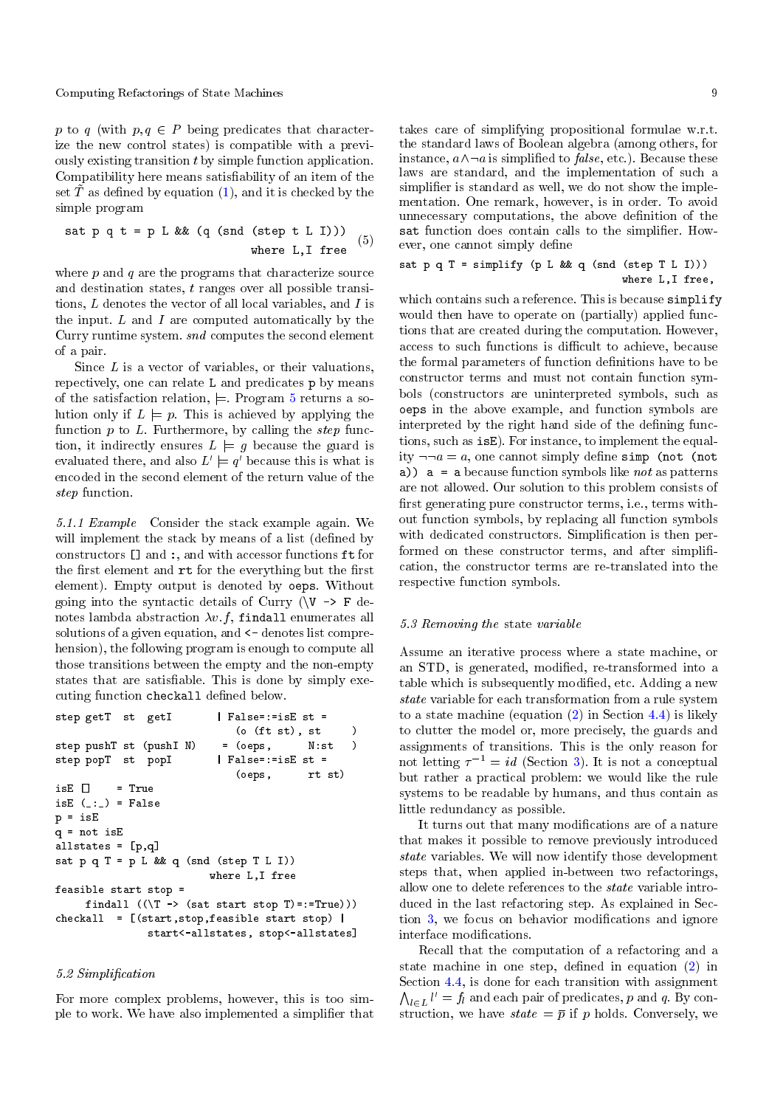Computing Refactorings of State Machines 9

p to q (with  $p, q \in P$  being predicates that characterize the new control states) is compatible with a previously existing transition t by simple function application. Compatibility here means satisfiability of an item of the set  $\tilde{T}$  as defined by equation [\(1\)](#page-7-1), and it is checked by the simple program

<span id="page-8-2"></span>sat p q t = p L && (q (snd (step t L I))) where L,I free (5)

where  $p$  and  $q$  are the programs that characterize source and destination states,  $t$  ranges over all possible transitions,  $L$  denotes the vector of all local variables, and  $I$  is the input.  $L$  and  $I$  are computed automatically by the Curry runtime system. snd computes the second element of a pair.

Since  $L$  is a vector of variables, or their valuations, repectively, one can relate L and predicates p by means of the satisfaction relation,  $\models$  Program [5](#page-8-2) returns a solution only if  $L \models p$ . This is achieved by applying the function  $p$  to  $L$ . Furthermore, by calling the *step* function, it indirectly ensures  $L \models q$  because the guard is evaluated there, and also  $L' \models q'$  because this is what is encoded in the second element of the return value of the step function.

5.1.1 Example Consider the stack example again. We will implement the stack by means of a list (defined by constructors [] and :, and with accessor functions ft for the first element and **rt** for the everything but the first element). Empty output is denoted by oeps. Without going into the syntactic details of Curry  $(\forall v \rightarrow F$  denotes lambda abstraction  $\lambda v.f$ , findall enumerates all solutions of a given equation, and  $\leq$  denotes list comprehension), the following program is enough to compute all those transitions between the empty and the non-empty states that are satisfiable. This is done by simply executing function checkall defined below.

```
step getT st getI | False=:=isE st =
                           (o (ft st), st )step pushT st (pushI \ N) = (oeps, N:st)step popT st popI | False=:=isE st =
                           (oeps, rt st)
isE [] = True
isE (: ) = False
p = i s Eq = not isEallstates = [p,q]
sat p q T = p L && q (snd (step T L I))
                       where L,I free
feasible start stop =
    findall ((T - > (sat start stop T)=:=True)))checkall = [(start, stop,feasible start stop)]start<-allstates, stop<-allstates]
```
# <span id="page-8-1"></span>5.2 Simplication

For more complex problems, however, this is too simple to work. We have also implemented a simplifier that

takes care of simplifying propositional formulae w.r.t. the standard laws of Boolean algebra (among others, for instance,  $a \wedge \neg a$  is simplified to *false*, etc.). Because these laws are standard, and the implementation of such a simplifier is standard as well, we do not show the implementation. One remark, however, is in order. To avoid unnecessary computations, the above denition of the sat function does contain calls to the simplifier. However, one cannot simply define

```
sat p q T = simplify (p L \& q (snd (step T L I)))where L,I free,
```
which contains such a reference. This is because simplify would then have to operate on (partially) applied functions that are created during the computation. However, access to such functions is difficult to achieve, because the formal parameters of function definitions have to be constructor terms and must not contain function symbols (constructors are uninterpreted symbols, such as oeps in the above example, and function symbols are interpreted by the right hand side of the defining functions, such as isE). For instance, to implement the equality  $\neg \neg a = a$ , one cannot simply define simp (not (not a))  $a = a$  because function symbols like *not* as patterns are not allowed. Our solution to this problem consists of first generating pure constructor terms, i.e., terms without function symbols, by replacing all function symbols with dedicated constructors. Simplification is then performed on these constructor terms, and after simplification, the constructor terms are re-translated into the respective function symbols.

# <span id="page-8-0"></span>5.3 Removing the state variable

Assume an iterative process where a state machine, or an STD, is generated, modied, re-transformed into a table which is subsequently modied, etc. Adding a new state variable for each transformation from a rule system to a state machine (equation  $(2)$ ) in Section [4.4\)](#page-6-3) is likely to clutter the model or, more precisely, the guards and assignments of transitions. This is the only reason for not letting  $\tau^{-1} = id$  (Section [3\)](#page-3-1). It is not a conceptual but rather a practical problem: we would like the rule systems to be readable by humans, and thus contain as little redundancy as possible.

It turns out that many modications are of a nature that makes it possible to remove previously introduced state variables. We will now identify those development steps that, when applied in-between two refactorings, allow one to delete references to the state variable introduced in the last refactoring step. As explained in Sec-tion [3,](#page-3-1) we focus on behavior modifications and ignore interface modications.

Recall that the computation of a refactoring and a state machine in one step, defined in equation  $(2)$  in Section [4.4,](#page-6-3) is done for each transition with assignment  $\bigwedge_{l \in L} l' = f_l$  and each pair of predicates, p and q. By construction, we have  $state = \overline{p}$  if p holds. Conversely, we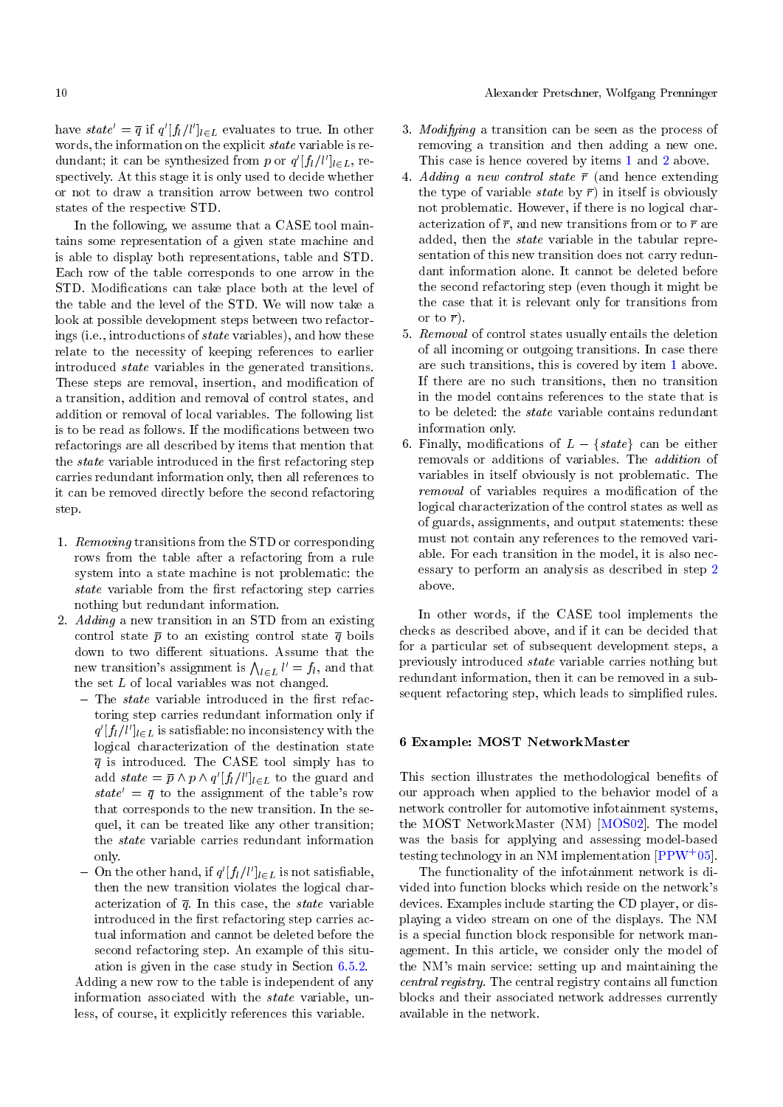have  $state' = \overline{q}$  if  $q'[f_l/l']_{l \in L}$  evaluates to true. In other words, the information on the explicit state variable is redundant; it can be synthesized from p or  $q'[f_l/l']_{l\in L}$ , respectively. At this stage it is only used to decide whether or not to draw a transition arrow between two control states of the respective STD.

In the following, we assume that a CASE tool maintains some representation of a given state machine and is able to display both representations, table and STD. Each row of the table corresponds to one arrow in the STD. Modications can take place both at the level of the table and the level of the STD. We will now take a look at possible development steps between two refactorings (i.e., introductions of state variables), and how these relate to the necessity of keeping references to earlier introduced state variables in the generated transitions. These steps are removal, insertion, and modification of a transition, addition and removal of control states, and addition or removal of local variables. The following list is to be read as follows. If the modifications between two refactorings are all described by items that mention that the *state* variable introduced in the first refactoring step carries redundant information only, then all references to it can be removed directly before the second refactoring step.

- <span id="page-9-1"></span>1. Removing transitions from the STD or corresponding rows from the table after a refactoring from a rule system into a state machine is not problematic: the state variable from the first refactoring step carries nothing but redundant information.
- <span id="page-9-2"></span>2. Adding a new transition in an STD from an existing control state  $\bar{p}$  to an existing control state  $\bar{q}$  boils down to two different situations. Assume that the new transition's assignment is  $\bigwedge_{l \in L} l' = f_l$ , and that the set L of local variables was not changed.
	- $-$  The *state* variable introduced in the first refactoring step carries redundant information only if  $q'[f_l/l']_{l\in L}$  is satisfiable: no inconsistency with the logical characterization of the destination state  $\overline{q}$  is introduced. The CASE tool simply has to add state  $=\bar{p} \wedge p \wedge q' [f_l/l']_{l \in L}$  to the guard and state' =  $\bar{q}$  to the assignment of the table's row that corresponds to the new transition. In the sequel, it can be treated like any other transition; the state variable carries redundant information only.
	- On the other hand, if  $q'[f_l/l']_{l \in L}$  is not satisfiable, then the new transition violates the logical characterization of  $\bar{q}$ . In this case, the *state* variable introduced in the first refactoring step carries actual information and cannot be deleted before the second refactoring step. An example of this situation is given in the case study in Section [6.5.2.](#page-11-0)

Adding a new row to the table is independent of any information associated with the state variable, unless, of course, it explicitly references this variable.

- 3. Modifying a transition can be seen as the process of removing a transition and then adding a new one. This case is hence covered by items [1](#page-9-1) and [2](#page-9-2) above.
- 4. Adding a new control state  $\bar{r}$  (and hence extending the type of variable *state* by  $\overline{r}$ ) in itself is obviously not problematic. However, if there is no logical characterization of  $\bar{r}$ , and new transitions from or to  $\bar{r}$  are added, then the state variable in the tabular representation of this new transition does not carry redundant information alone. It cannot be deleted before the second refactoring step (even though it might be the case that it is relevant only for transitions from or to  $\bar{r}$ ).
- 5. Removal of control states usually entails the deletion of all incoming or outgoing transitions. In case there are such transitions, this is covered by item [1](#page-9-1) above. If there are no such transitions, then no transition in the model contains references to the state that is to be deleted: the state variable contains redundant information only.
- 6. Finally, modifications of  $L \{state\}$  can be either removals or additions of variables. The addition of variables in itself obviously is not problematic. The removal of variables requires a modification of the logical characterization of the control states as well as of guards, assignments, and output statements: these must not contain any references to the removed variable. For each transition in the model, it is also necessary to perform an analysis as described in step [2](#page-9-2) above.

In other words, if the CASE tool implements the checks as described above, and if it can be decided that for a particular set of subsequent development steps, a previously introduced state variable carries nothing but redundant information, then it can be removed in a subsequent refactoring step, which leads to simplified rules.

## <span id="page-9-0"></span>6 Example: MOST NetworkMaster

This section illustrates the methodological benefits of our approach when applied to the behavior model of a network controller for automotive infotainment systems, the MOST NetworkMaster (NM) [\[MOS02\]](#page-16-16). The model was the basis for applying and assessing model-based testing technology in an NM implementation  $[PPW^+05]$  $[PPW^+05]$ .

The functionality of the infotainment network is divided into function blocks which reside on the network's devices. Examples include starting the CD player, or displaying a video stream on one of the displays. The NM is a special function block responsible for network management. In this article, we consider only the model of the NM's main service: setting up and maintaining the central registry. The central registry contains all function blocks and their associated network addresses currently available in the network.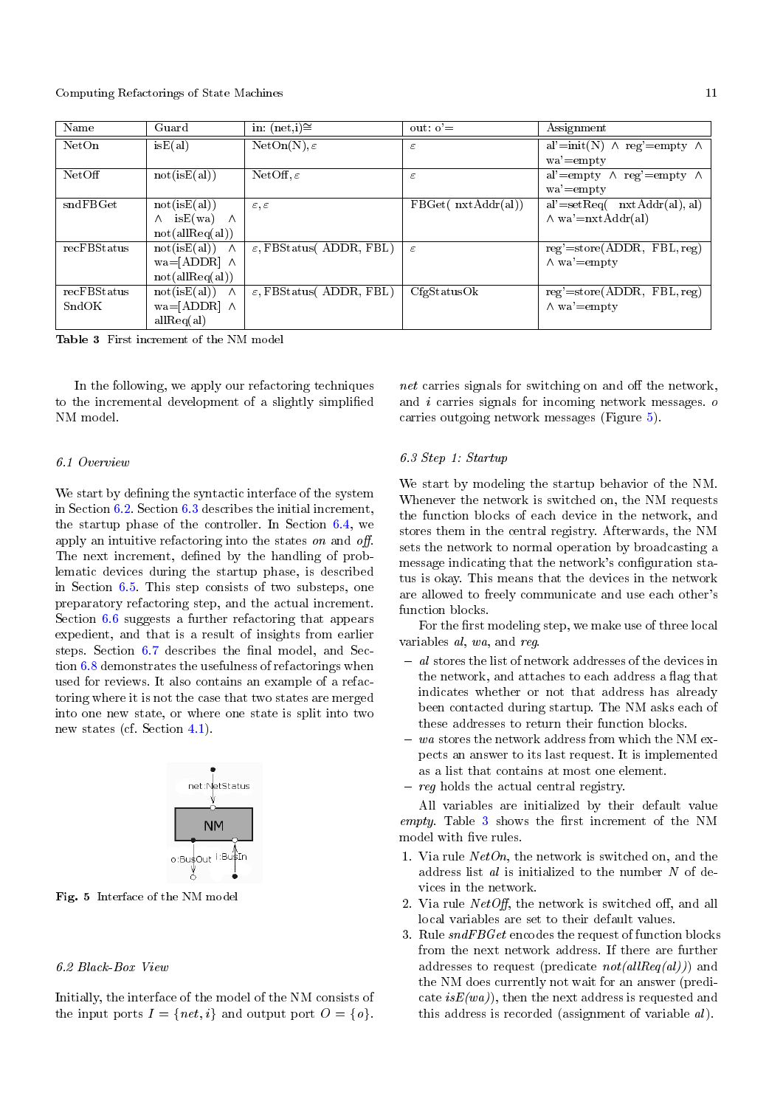| Name        | Guard                                                      | in: $(net, i) \approx$              | out: $o' =$              | Assignment                                                             |
|-------------|------------------------------------------------------------|-------------------------------------|--------------------------|------------------------------------------------------------------------|
| NetOn       | isE(al)                                                    | $NetOn(N), \varepsilon$             | $\varepsilon$            | $\overline{al'=\text{init}(N)} \wedge \text{reg'=\text{empty}} \wedge$ |
|             |                                                            |                                     |                          | $wa' = \text{empty}$                                                   |
| NetOff      | $not($ is $E($ al $))$                                     | NetOff. $\varepsilon$               | ε                        | al'=empty $\wedge$ reg'=empty $\wedge$                                 |
|             |                                                            |                                     |                          | $wa' = \text{empty}$                                                   |
| sndFBGet    | $not($ is $E($ al $))$                                     | $\varepsilon, \varepsilon$          | $FBGet( \; nxtAddr(al))$ | $al' = setReg( \; nxtAddr(al), al)$                                    |
|             | is $E(wa)$ $\wedge$<br>$\wedge$                            |                                     |                          | $\wedge$ wa'=nxtAddr(al)                                               |
|             | not(allReq(a)])                                            |                                     |                          |                                                                        |
| recFBStatus | $not($ is $E($ al $))$<br>$\wedge$                         | $\varepsilon$ , FBStatus(ADDR, FBL) | ε                        | $reg' = store(ADDR, FBL, reg)$                                         |
|             | $wa=[ADDR]$ $\wedge$                                       |                                     |                          | $\wedge$ wa'=empty                                                     |
|             | not(allReq(a)])                                            |                                     |                          |                                                                        |
| recFBStatus | $\overline{\text{not}}(\text{isE}(\text{al}))$<br>$\wedge$ | $\varepsilon$ , FBStatus(ADDR, FBL) | CfgStatusOk              | $reg' = store(ADDR, FBL, reg)$                                         |
| SndOK       | $wa=[ADDR]$ $\wedge$                                       |                                     |                          | $\wedge$ wa'=empty                                                     |
|             | allReq(a!)                                                 |                                     |                          |                                                                        |

<span id="page-10-3"></span>Table 3 First increment of the NM model

In the following, we apply our refactoring techniques to the incremental development of a slightly simplied NM model.

## 6.1 Overview

We start by defining the syntactic interface of the system in Section [6.2.](#page-10-0) Section [6.3](#page-10-1) describes the initial increment, the startup phase of the controller. In Section [6.4,](#page-11-1) we apply an intuitive refactoring into the states  $\emph{on}$  and  $\emph{off.}$ The next increment, defined by the handling of problematic devices during the startup phase, is described in Section [6.5.](#page-11-2) This step consists of two substeps, one preparatory refactoring step, and the actual increment. Section [6.6](#page-12-0) suggests a further refactoring that appears expedient, and that is a result of insights from earlier steps. Section [6.7](#page-12-1) describes the final model, and Section [6.8](#page-13-1) demonstrates the usefulness of refactorings when used for reviews. It also contains an example of a refactoring where it is not the case that two states are merged into one new state, or where one state is split into two new states (cf. Section [4.1\)](#page-4-2).



<span id="page-10-2"></span>Fig. 5 Interface of the NM model

## <span id="page-10-0"></span>6.2 Black-Box View

Initially, the interface of the model of the NM consists of the input ports  $I = \{net, i\}$  and output port  $O = \{o\}.$ 

net carries signals for switching on and off the network, and i carries signals for incoming network messages. o carries outgoing network messages (Figure [5\)](#page-10-2).

# <span id="page-10-1"></span>6.3 Step 1: Startup

We start by modeling the startup behavior of the NM. Whenever the network is switched on, the NM requests the function blocks of each device in the network, and stores them in the central registry. Afterwards, the NM sets the network to normal operation by broadcasting a message indicating that the network's conguration status is okay. This means that the devices in the network are allowed to freely communicate and use each other's function blocks.

For the first modeling step, we make use of three local variables al, wa, and reg.

- al stores the list of network addresses of the devices in the network, and attaches to each address a flag that indicates whether or not that address has already been contacted during startup. The NM asks each of these addresses to return their function blocks.
- $-$  wa stores the network address from which the NM expects an answer to its last request. It is implemented as a list that contains at most one element.
- $=$  reg holds the actual central registry.

All variables are initialized by their default value  $empty$ . Table [3](#page-10-3) shows the first increment of the NM model with five rules.

- 1. Via rule  $NetOn$ , the network is switched on, and the address list  $al$  is initialized to the number  $N$  of devices in the network.
- 2. Via rule  $NetOff$ , the network is switched off, and all local variables are set to their default values.
- 3. Rule sndFBGet encodes the request of function blocks from the next network address. If there are further addresses to request (predicate  $not(allReg(al))$ ) and the NM does currently not wait for an answer (predicate  $isE(wa)$ , then the next address is requested and this address is recorded (assignment of variable al).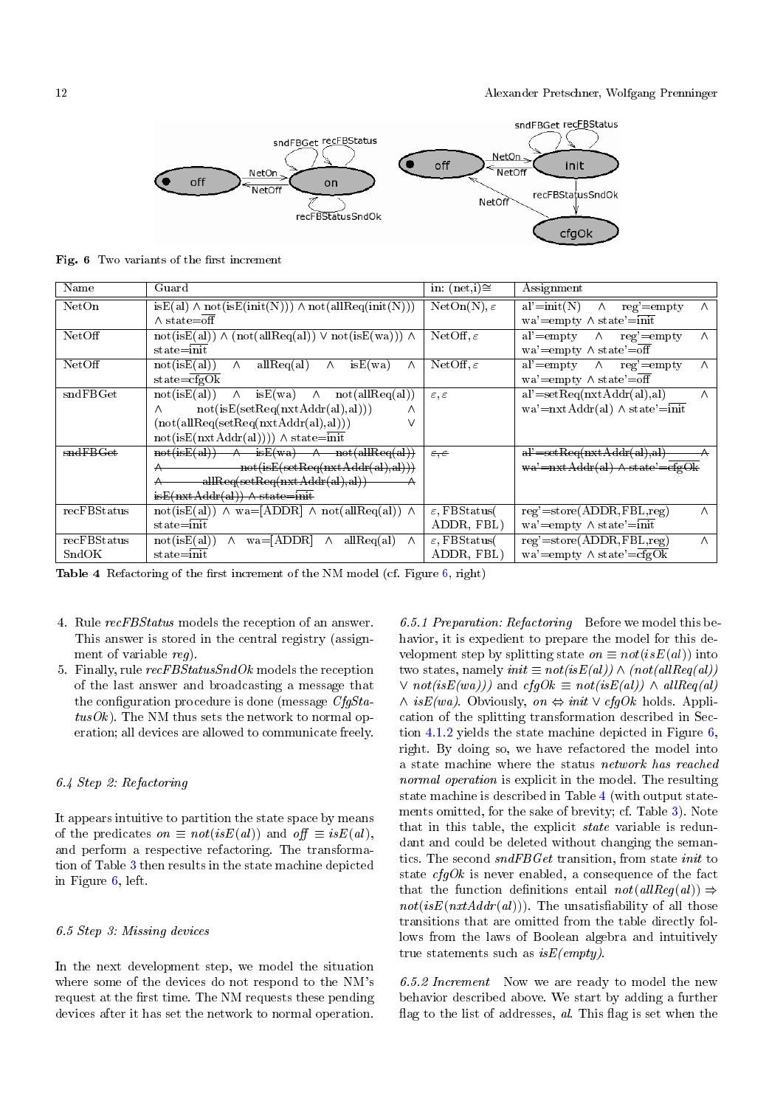

<span id="page-11-3"></span>Fig. 6 Two variants of the first increment

| Name        | Guard                                                                                          | in: $(net, i) \cong$          | Assignment                                             |
|-------------|------------------------------------------------------------------------------------------------|-------------------------------|--------------------------------------------------------|
| NetOn       | $isE(al) \wedge not(isE(int(N))) \wedge not(alReq(int(N)))$                                    | $NetOn(N), \varepsilon$       | $al' = init(N)$ $\wedge$<br>$reg' = empty$<br>$\wedge$ |
|             | $\wedge$ state=off                                                                             |                               | $wa' = empty \wedge state' = init$                     |
| NetOff      | $not(isE(al)) \wedge (not(alReq(al)) \vee not(isE(wa))) \wedge$                                | NetOff, $\varepsilon$         | al'=empty $\land$ reg'=empty<br>$\wedge$               |
|             | $state = init$                                                                                 |                               | wa'=empty $\wedge$ state'=off                          |
| NetOff      | allReq(a!)<br>$not($ is $E($ al $))$<br>isE(wa)<br>$\wedge$<br>$\wedge$<br>$\wedge$            | NetOff, $\varepsilon$         | al'=empty $\land$ reg'=empty<br>$\wedge$               |
|             | $state = cfgOk$                                                                                |                               | wa'=empty $\wedge$ state'=off                          |
| sndFBGet    | $not($ is $E($ al $))$<br>$isE(wa)$ $\wedge$ $not(allReg(a))$<br>$\wedge$                      | $\varepsilon$ , $\varepsilon$ | $al' = setReg(nxtAddr(al),al)$<br>$\wedge$             |
|             | not( isE(setReq(nxtAddr(al),al)))<br>Λ<br>$\wedge$                                             |                               | $wa' = nxtAddr(al) \wedge state' = \overline{init}$    |
|             | $(not (allReq (set Req (nxt Addr (al), al))))$<br>$\vee$                                       |                               |                                                        |
|             | $not( isE(nxtAddr(al))) \wedge state = \overline{init}$                                        |                               |                                                        |
| sndFBGet    | $not($ is $E($ al $)$ )<br>$\overline{A}$ is $E(wa)$ $\overline{A}$ not (all $\text{Re}(aI)$ ) | $\epsilon, \epsilon$          | $a' = setReg(nxtAddr(a),a)$                            |
|             | $-not(isE(setReq(nxtAddr(al),al)))$<br>$\overline{A}$                                          |                               | $wa' = nxtAddr(al)$ A state'= $\overline{cfgOk}$       |
|             | $-\text{allReq}(\text{setReq}(\text{nxtAddr}(\text{al}), \text{al})) -$                        |                               |                                                        |
|             | $isE(nxtAddr(at))$ A state= $\overline{init}$                                                  |                               |                                                        |
| recFBStatus | $not(isE(al)) \wedge wa=[ADDR] \wedge not(alReq(al)) \wedge$                                   | $\varepsilon$ , FBStatus(     | $reg' = store(ADDR, FBL, reg)$<br>$\wedge$             |
|             | $state = init$                                                                                 | ADDR, FBL)                    | wa'=empty $\wedge$ state'= $\overline{\text{init}}$    |
| recFBStatus | $not($ is $E($ al $))$<br>$wa=[ADDR]$ $\wedge$<br>allReq(a!)<br>$\wedge$<br>$\wedge$           | $\varepsilon$ , FBStatus(     | $reg' = store(ADDR, FBL, reg)$<br>$\wedge$             |
| SndOK       | $state = init$                                                                                 | ADDR, FBL)                    | wa'=empty $\wedge$ state'= $\overline{\text{cfgOk}}$   |

<span id="page-11-4"></span>**Table 4** Refactoring of the first increment of the NM model (cf. Figure [6,](#page-11-3) right)

- 4. Rule recFBStatus models the reception of an answer. This answer is stored in the central registry (assignment of variable reg).
- 5. Finally, rule recFBStatusSndOk models the reception of the last answer and broadcasting a message that the configuration procedure is done (message  $CfgSta$  $tusOk$ ). The NM thus sets the network to normal operation; all devices are allowed to communicate freely.

# <span id="page-11-1"></span>6.4 Step 2: Refactoring

It appears intuitive to partition the state space by means of the predicates on  $\equiv$  not(isE(al)) and off  $\equiv$  isE(al), and perform a respective refactoring. The transformation of Table [3](#page-10-3) then results in the state machine depicted in Figure [6,](#page-11-3) left.

# <span id="page-11-2"></span>6.5 Step 3: Missing devices

In the next development step, we model the situation where some of the devices do not respond to the NM's request at the first time. The NM requests these pending devices after it has set the network to normal operation.

<span id="page-11-5"></span>6.5.1 Preparation: Refactoring Before we model this behavior, it is expedient to prepare the model for this development step by splitting state on  $\equiv not(isE(al))$  into two states, namely  $init \equiv not(isE(al)) \wedge (not(allReg(al))$  $\vee$  not(isE(wa))) and cfgOk  $\equiv$  not(isE(al))  $\wedge$  allReg(al)  $\wedge$  isE(wa). Obviously, on  $\Leftrightarrow$  init  $\vee$  cfgOk holds. Application of the splitting transformation described in Section  $4.1.2$  yields the state machine depicted in Figure  $6$ , right. By doing so, we have refactored the model into a state machine where the status network has reached normal operation is explicit in the model. The resulting state machine is described in Table [4](#page-11-4) (with output statements omitted, for the sake of brevity; cf. Table [3\)](#page-10-3). Note that in this table, the explicit *state* variable is redundant and could be deleted without changing the semantics. The second *sndFBGet* transition, from state *init* to state  $cfaOk$  is never enabled, a consequence of the fact that the function definitions entail  $not (allReg (al)) \Rightarrow$  $not(isE(nxtAddr(al)))$ . The unsatisfiability of all those transitions that are omitted from the table directly follows from the laws of Boolean algebra and intuitively true statements such as  $isE(empty)$ .

<span id="page-11-0"></span>6.5.2 Increment Now we are ready to model the new behavior described above. We start by adding a further flag to the list of addresses, al. This flag is set when the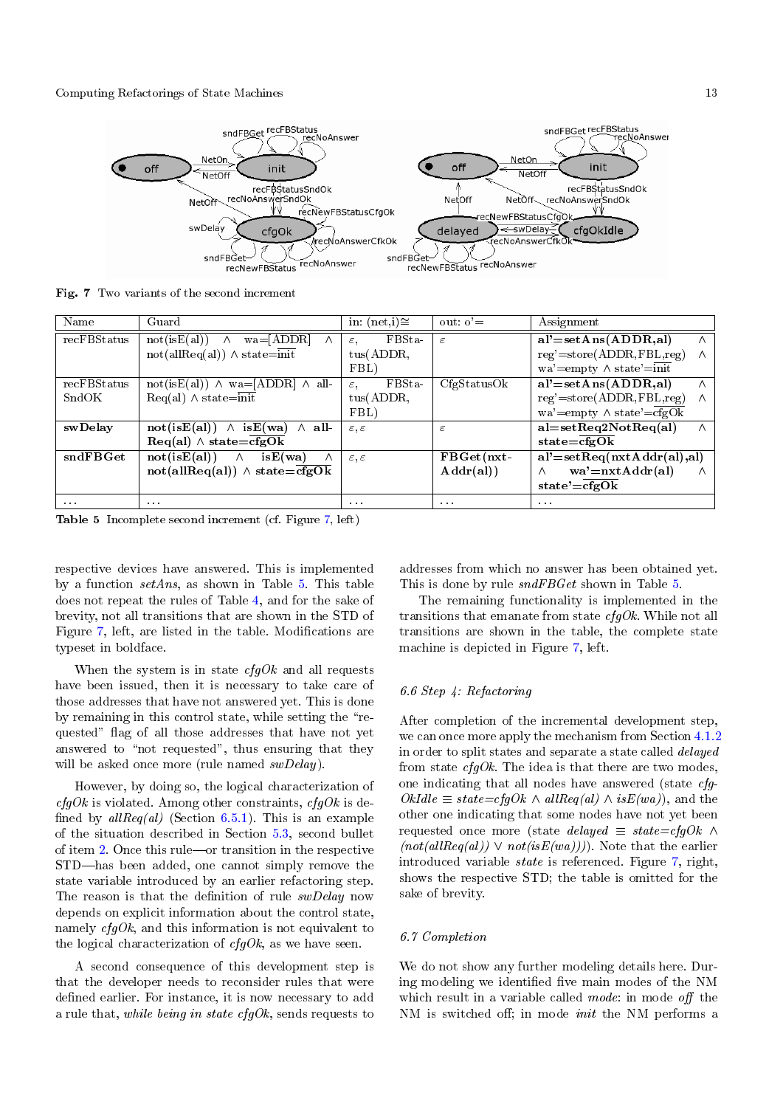

<span id="page-12-2"></span>Fig. 7 Two variants of the second increment

| Name        | Guard                                                         | in: $(net, i) \approx$        | out: $o' =$  | Assignment                         |
|-------------|---------------------------------------------------------------|-------------------------------|--------------|------------------------------------|
| recFBStatus | $wa=[ADDR]$<br>$not($ is $E($ al $))$<br>$\Lambda$            | FBSta-<br>ε.                  | ε            | $al' = setAns(ADDR, al)$           |
|             | $not(allReq(a)) \wedge state = init$                          | $t$ us $(ADDR,$               |              | $reg' = store(ADDR, FBL, reg)$     |
|             |                                                               | FBL                           |              | $wa' = empty \wedge state' = init$ |
| recFBStatus | $not(isE(al)) \wedge wa=[ADDR] \wedge all$                    | FBSta-<br>$\varepsilon$ .     | CfgStatusOk  | $al' = setAns(ADDR, al)$           |
| SndOK       | $\text{Req}(al) \wedge \text{state} = \overline{\text{init}}$ | $t$ us $(ADDR,$               |              | $reg' = store(ADDR, FBL, reg)$     |
|             |                                                               | FBL)                          |              | wa'=empty $\wedge$ state'=cfgOk    |
| swDelay     | $not(isE(al)) \wedge isE(wa) \wedge$<br>all-                  | $\varepsilon, \varepsilon$    | ε            | $al = setReq2NotReq(al)$           |
|             | $\text{Req}(al) \wedge state = cfgOk$                         |                               |              | $state = cfgOk$                    |
| sndFBGet    | not(isE(al))<br>isE(wa)<br>$\wedge$                           | $\varepsilon$ , $\varepsilon$ | $FBGet(nxt-$ | $al' = setReg(nxtAddr(al),al)$     |
|             | $not(allReq(a)) \wedge state = \overline{cfgOk}$              |                               | Addr(al)     | $wa' = nxtAddr(al)$                |
|             |                                                               |                               |              | $state' = cfgOk$                   |
| $\cdots$    | $\mathbf{a} \cdot \mathbf{a} \cdot \mathbf{a}$                | $\cdots$                      | $\cdots$     | $\cdots$                           |

<span id="page-12-3"></span>Table 5 Incomplete second increment (cf. Figure [7,](#page-12-2) left)

respective devices have answered. This is implemented by a function  $setAns$ , as shown in Table [5.](#page-12-3) This table does not repeat the rules of Table [4,](#page-11-4) and for the sake of brevity, not all transitions that are shown in the STD of Figure [7,](#page-12-2) left, are listed in the table. Modifications are typeset in boldface.

When the system is in state  $cfgOk$  and all requests have been issued, then it is necessary to take care of those addresses that have not answered yet. This is done by remaining in this control state, while setting the "requested" 
ag of all those addresses that have not yet answered to "not requested", thus ensuring that they will be asked once more (rule named  $swDelay$ ).

However, by doing so, the logical characterization of  $cfqOk$  is violated. Among other constraints,  $cfqOk$  is defined by  $allReq(al)$  (Section [6.5.1\)](#page-11-5). This is an example of the situation described in Section [5.3,](#page-8-0) second bullet of item [2.](#page-9-2) Once this rule—or transition in the respective STD—has been added, one cannot simply remove the state variable introduced by an earlier refactoring step. The reason is that the definition of rule  $\textit{swDelay}$  now depends on explicit information about the control state, namely  $cfqOk$ , and this information is not equivalent to the logical characterization of  $cfgOk$ , as we have seen.

A second consequence of this development step is that the developer needs to reconsider rules that were defined earlier. For instance, it is now necessary to add a rule that, while being in state cfgOk, sends requests to

addresses from which no answer has been obtained yet. This is done by rule  $\mathit{sndFBGet}$  shown in Table [5.](#page-12-3)

The remaining functionality is implemented in the transitions that emanate from state  $cfqOk$ . While not all transitions are shown in the table, the complete state machine is depicted in Figure [7,](#page-12-2) left.

# <span id="page-12-0"></span>6.6 Step 4: Refactoring

After completion of the incremental development step, we can once more apply the mechanism from Section [4.1.2](#page-5-3) in order to split states and separate a state called delayed from state  $cfgOk$ . The idea is that there are two modes, one indicating that all nodes have answered (state cfg- $OkI$ dle  $\equiv state = cfgOk \wedge allReg(al) \wedge isE(wa)$ , and the other one indicating that some nodes have not yet been requested once more (state *delayed*  $\equiv$  *state=cfgOk*  $\land$  $(not(\text{allReg}(al)) \vee \text{not}(isE(wa))))$ . Note that the earlier introduced variable state is referenced. Figure [7,](#page-12-2) right, shows the respective STD; the table is omitted for the sake of brevity.

### <span id="page-12-1"></span>6.7 Completion

We do not show any further modeling details here. During modeling we identified five main modes of the NM which result in a variable called mode: in mode off the NM is switched off; in mode *init* the NM performs a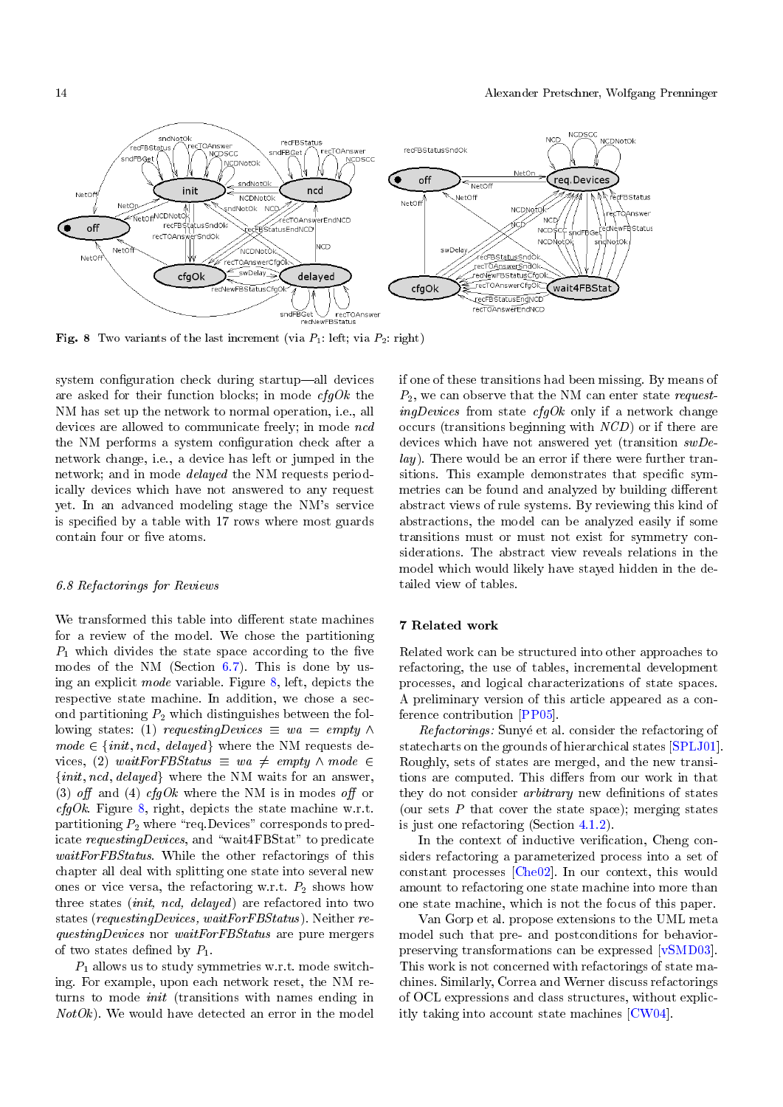

<span id="page-13-2"></span>Fig. 8 Two variants of the last increment (via  $P_1$ : left; via  $P_2$ : right)

system configuration check during startup-all devices are asked for their function blocks; in mode  $cfgOk$  the NM has set up the network to normal operation, i.e., all devices are allowed to communicate freely; in mode ncd the NM performs a system conguration check after a network change, i.e., a device has left or jumped in the network; and in mode delayed the NM requests periodically devices which have not answered to any request yet. In an advanced modeling stage the NM's service is specied by a table with 17 rows where most guards contain four or five atoms.

# <span id="page-13-1"></span>6.8 Refactorings for Reviews

We transformed this table into different state machines for a review of the model. We chose the partitioning  $P_1$  which divides the state space according to the five modes of the NM (Section [6.7\)](#page-12-1). This is done by using an explicit mode variable. Figure [8,](#page-13-2) left, depicts the respective state machine. In addition, we chose a second partitioning  $P_2$  which distinguishes between the following states: (1) requesting Devices  $\equiv wa = empty \wedge$  $mode \in \{init, ncd, delayed\}$  where the NM requests devices, (2) waitForFBStatus  $\equiv wa \neq empty \wedge mode \in$  $\{init, ncd, delayed\}$  where the NM waits for an answer, (3) off and (4)  $cfqOk$  where the NM is in modes off or  $cfgOk$ . Figure [8,](#page-13-2) right, depicts the state machine w.r.t. partitioning  $P_2$  where "req.Devices" corresponds to predicate requestingDevices, and "wait4FBStat" to predicate waitForFBStatus. While the other refactorings of this chapter all deal with splitting one state into several new ones or vice versa, the refactoring w.r.t.  $P_2$  shows how three states (init, ncd, delayed) are refactored into two states (requestingDevices, waitForFBStatus). Neither requestingDevices nor waitForFBStatus are pure mergers of two states defined by  $P_1$ .

 $P_1$  allows us to study symmetries w.r.t. mode switching. For example, upon each network reset, the NM returns to mode init (transitions with names ending in  $NotOk$ ). We would have detected an error in the model

if one of these transitions had been missing. By means of  $P_2$ , we can observe that the NM can enter state requestingDevices from state  $cfgOk$  only if a network change occurs (transitions beginning with NCD) or if there are devices which have not answered yet (transition swDe $lay)$ . There would be an error if there were further transitions. This example demonstrates that specific symmetries can be found and analyzed by building different abstract views of rule systems. By reviewing this kind of abstractions, the model can be analyzed easily if some transitions must or must not exist for symmetry considerations. The abstract view reveals relations in the model which would likely have stayed hidden in the detailed view of tables.

## <span id="page-13-0"></span>7 Related work

Related work can be structured into other approaches to refactoring, the use of tables, incremental development processes, and logical characterizations of state spaces. A preliminary version of this article appeared as a conference contribution [\[PP05\]](#page-16-17).

Refactorings: Sunyé et al. consider the refactoring of statecharts on the grounds of hierarchical states [\[SPLJ01\]](#page-16-18). Roughly, sets of states are merged, and the new transitions are computed. This differs from our work in that they do not consider *arbitrary* new definitions of states (our sets  $P$  that cover the state space); merging states is just one refactoring (Section [4.1.2\)](#page-5-3).

In the context of inductive verification, Cheng considers refactoring a parameterized process into a set of constant processes [\[Che02\]](#page-15-16). In our context, this would amount to refactoring one state machine into more than one state machine, which is not the focus of this paper.

Van Gorp et al. propose extensions to the UML meta model such that pre- and postconditions for behaviorpreserving transformations can be expressed [\[vSMD03\]](#page-16-19). This work is not concerned with refactorings of state machines. Similarly, Correa and Werner discuss refactorings of OCL expressions and class structures, without explicitly taking into account state machines [\[CW04\]](#page-15-17).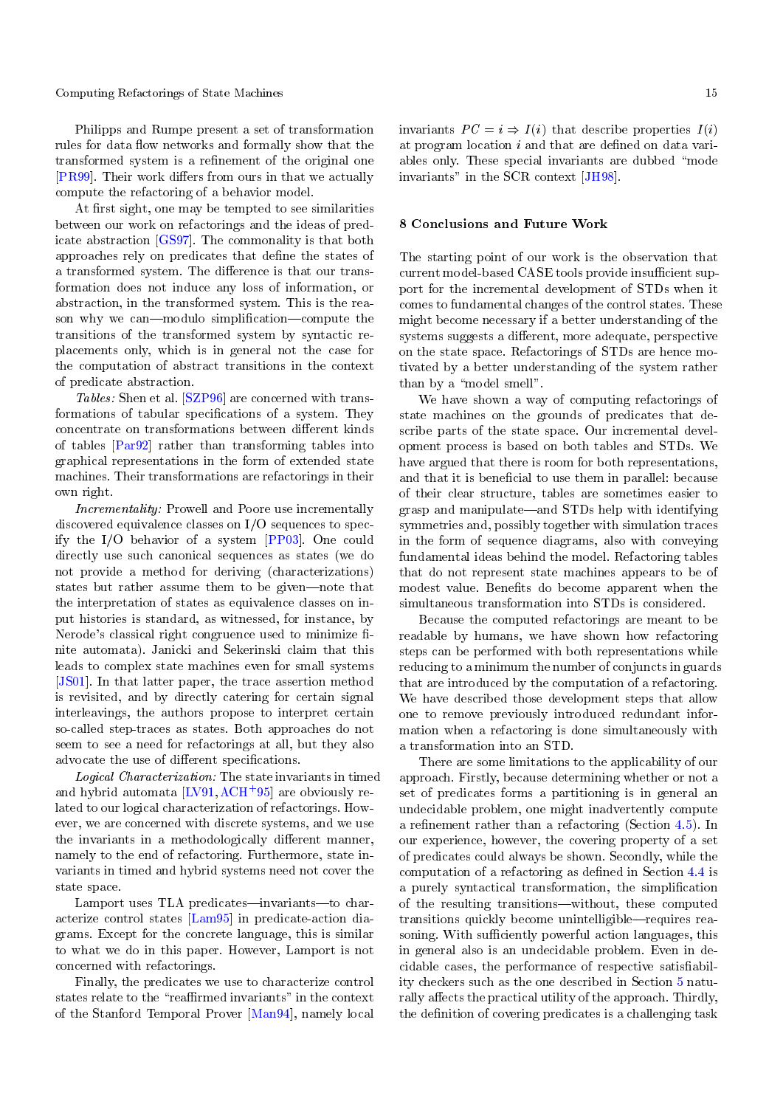Philipps and Rumpe present a set of transformation rules for data flow networks and formally show that the transformed system is a refinement of the original one [\[PR99\]](#page-16-14). Their work differs from ours in that we actually compute the refactoring of a behavior model.

At first sight, one may be tempted to see similarities between our work on refactorings and the ideas of predicate abstraction [\[GS97\]](#page-15-18). The commonality is that both approaches rely on predicates that define the states of a transformed system. The difference is that our transformation does not induce any loss of information, or abstraction, in the transformed system. This is the reason why we can—modulo simplification—compute the transitions of the transformed system by syntactic replacements only, which is in general not the case for the computation of abstract transitions in the context of predicate abstraction.

Tables: Shen et al. [\[SZP96\]](#page-16-10) are concerned with transformations of tabular specifications of a system. They concentrate on transformations between different kinds of tables [\[Par92\]](#page-16-11) rather than transforming tables into graphical representations in the form of extended state machines. Their transformations are refactorings in their own right.

Incrementality: Prowell and Poore use incrementally discovered equivalence classes on I/O sequences to specify the I/O behavior of a system [\[PP03\]](#page-16-20). One could directly use such canonical sequences as states (we do not provide a method for deriving (characterizations) states but rather assume them to be given-note that the interpretation of states as equivalence classes on input histories is standard, as witnessed, for instance, by Nerode's classical right congruence used to minimize finite automata). Janicki and Sekerinski claim that this leads to complex state machines even for small systems [\[JS01\]](#page-16-21). In that latter paper, the trace assertion method is revisited, and by directly catering for certain signal interleavings, the authors propose to interpret certain so-called step-traces as states. Both approaches do not seem to see a need for refactorings at all, but they also advocate the use of different specifications.

Logical Characterization: The state invariants in timed and hybrid automata  $[LV91, ACH+95]$  $[LV91, ACH+95]$  $[LV91, ACH+95]$  $[LV91, ACH+95]$  are obviously related to our logical characterization of refactorings. However, we are concerned with discrete systems, and we use the invariants in a methodologically different manner, namely to the end of refactoring. Furthermore, state invariants in timed and hybrid systems need not cover the state space.

Lamport uses TLA predicates—invariants—to characterize control states [\[Lam95\]](#page-16-6) in predicate-action diagrams. Except for the concrete language, this is similar to what we do in this paper. However, Lamport is not concerned with refactorings.

Finally, the predicates we use to characterize control states relate to the "reaffirmed invariants" in the context of the Stanford Temporal Prover [\[Man94\]](#page-16-23), namely local

invariants  $PC = i \Rightarrow I(i)$  that describe properties  $I(i)$ at program location  $i$  and that are defined on data variables only. These special invariants are dubbed \mode invariants" in the SCR context [\[JH98\]](#page-16-24).

#### <span id="page-14-0"></span>8 Conclusions and Future Work

The starting point of our work is the observation that current model-based CASE tools provide insufficient support for the incremental development of STDs when it comes to fundamental changes of the control states. These might become necessary if a better understanding of the systems suggests a different, more adequate, perspective on the state space. Refactorings of STDs are hence motivated by a better understanding of the system rather than by a "model smell".

We have shown a way of computing refactorings of state machines on the grounds of predicates that describe parts of the state space. Our incremental development process is based on both tables and STDs. We have argued that there is room for both representations, and that it is beneficial to use them in parallel: because of their clear structure, tables are sometimes easier to grasp and manipulate—and STDs help with identifying symmetries and, possibly together with simulation traces in the form of sequence diagrams, also with conveying fundamental ideas behind the model. Refactoring tables that do not represent state machines appears to be of modest value. Benefits do become apparent when the simultaneous transformation into STDs is considered.

Because the computed refactorings are meant to be readable by humans, we have shown how refactoring steps can be performed with both representations while reducing to a minimum the number of conjuncts in guards that are introduced by the computation of a refactoring. We have described those development steps that allow one to remove previously introduced redundant information when a refactoring is done simultaneously with a transformation into an STD.

There are some limitations to the applicability of our approach. Firstly, because determining whether or not a set of predicates forms a partitioning is in general an undecidable problem, one might inadvertently compute a refinement rather than a refactoring (Section  $4.5$ ). In our experience, however, the covering property of a set of predicates could always be shown. Secondly, while the computation of a refactoring as defined in Section [4.4](#page-6-3) is a purely syntactical transformation, the simplication of the resulting transitions—without, these computed transitions quickly become unintelligible—requires reasoning. With sufficiently powerful action languages, this in general also is an undecidable problem. Even in decidable cases, the performance of respective satisfiability checkers such as the one described in Section [5](#page-7-0) naturally affects the practical utility of the approach. Thirdly, the definition of covering predicates is a challenging task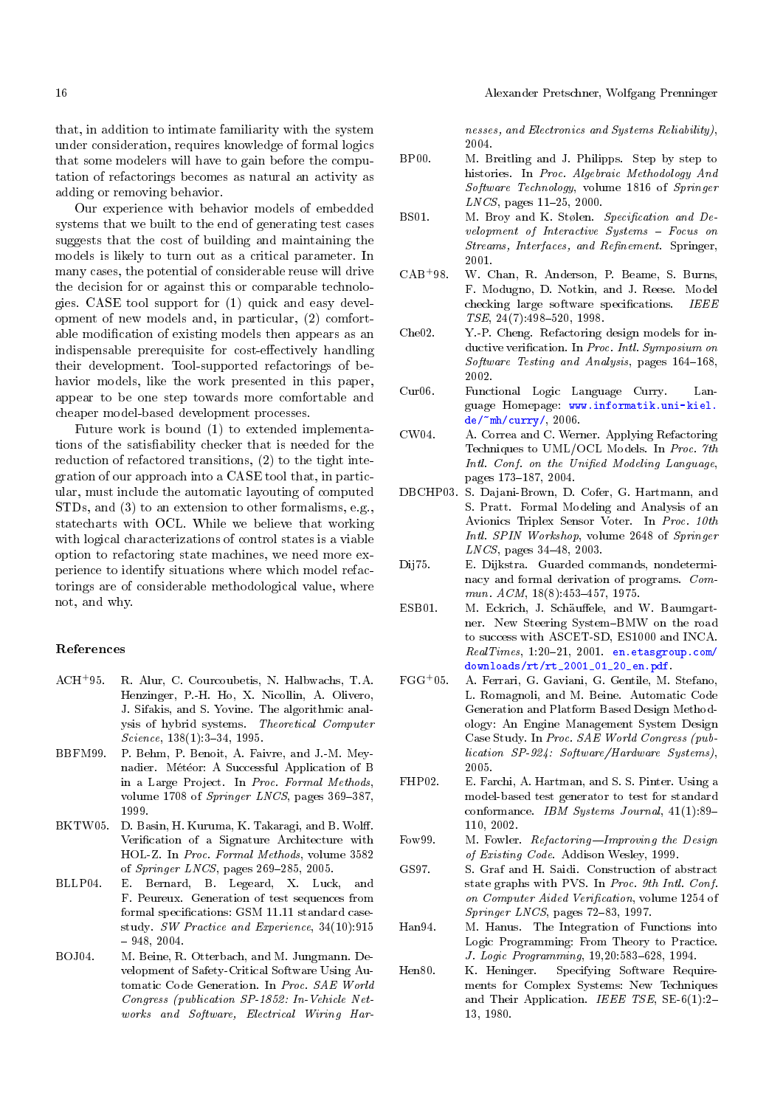that, in addition to intimate familiarity with the system under consideration, requires knowledge of formal logics that some modelers will have to gain before the computation of refactorings becomes as natural an activity as adding or removing behavior.

Our experience with behavior models of embedded systems that we built to the end of generating test cases suggests that the cost of building and maintaining the models is likely to turn out as a critical parameter. In many cases, the potential of considerable reuse will drive the decision for or against this or comparable technologies. CASE tool support for (1) quick and easy development of new models and, in particular, (2) comfortable modification of existing models then appears as an indispensable prerequisite for cost-effectively handling their development. Tool-supported refactorings of behavior models, like the work presented in this paper, appear to be one step towards more comfortable and cheaper model-based development processes.

Future work is bound (1) to extended implementations of the satisfiability checker that is needed for the reduction of refactored transitions, (2) to the tight integration of our approach into a CASE tool that, in particular, must include the automatic layouting of computed STDs, and (3) to an extension to other formalisms, e.g., statecharts with OCL. While we believe that working with logical characterizations of control states is a viable option to refactoring state machines, we need more experience to identify situations where which model refactorings are of considerable methodological value, where not, and why.

## References

- <span id="page-15-19"></span>ACH<sup>+</sup>95. R. Alur, C. Courcoubetis, N. Halbwachs, T.A. Henzinger, P.-H. Ho, X. Nicollin, A. Olivero, J. Sifakis, and S. Yovine. The algorithmic analysis of hybrid systems. Theoretical Computer  $Science, 138(1):3-34, 1995.$
- <span id="page-15-7"></span>BBFM99. P. Behm, P. Benoit, A. Faivre, and J.-M. Meynadier. Météor: A Successful Application of B in a Large Project. In Proc. Formal Methods, volume 1708 of  $Springer LNCS$ , pages 369-387, 1999.
- <span id="page-15-8"></span>BKTW05. D. Basin, H. Kuruma, K. Takaragi, and B. Wolff. Verication of a Signature Architecture with HOL-Z. In Proc. Formal Methods, volume 3582 of  $Springer LNCS$ , pages 269-285, 2005.
- <span id="page-15-4"></span>BLLP04. E. Bernard, B. Legeard, X. Luck, and F. Peureux. Generation of test sequences from formal specifications: GSM 11.11 standard casestudy. SW Practice and Experience, 34(10):915  $-948, 2004.$
- <span id="page-15-1"></span>BOJ04. M. Beine, R. Otterbach, and M. Jungmann. Development of Safety-Critical Software Using Automatic Code Generation. In Proc. SAE World Congress (publication SP-1852: In-Vehicle Networks and Software, Electrical Wiring Har-

nesses, and Electronics and Systems Reliability), 2004.

- <span id="page-15-12"></span>BP00. M. Breitling and J. Philipps. Step by step to histories. In Proc. Algebraic Methodology And Software Technology, volume 1816 of Springer  $LNCS$ , pages  $11-25$ , 2000.
- <span id="page-15-13"></span>BS01. M. Broy and K. Stølen. Specification and Development of Interactive Systems - Focus on Streams, Interfaces, and Refinement. Springer, 2001.
- <span id="page-15-5"></span>CAB<sup>+</sup>98. W. Chan, R. Anderson, P. Beame, S. Burns, F. Modugno, D. Notkin, and J. Reese. Model checking large software specifications. IEEE  $TSE$ , 24(7):498-520, 1998.
- <span id="page-15-16"></span>Che02. Y.-P. Cheng. Refactoring design models for inductive verification. In Proc. Intl. Symposium on Software Testing and Analysis, pages  $164-168$ , 2002.
- <span id="page-15-14"></span>Cur06. Functional Logic Language Curry. Language Homepage: [www.informatik.uni-kiel.](www.informatik.uni-kiel.de/~mh/curry/) [de/~mh/curry/,](www.informatik.uni-kiel.de/~mh/curry/) 2006.
- <span id="page-15-17"></span>CW04. A. Correa and C. Werner. Applying Refactoring Techniques to UML/OCL Models. In Proc. 7th Intl. Conf. on the Unified Modeling Language, pages 173-187, 2004.
- <span id="page-15-6"></span>DBCHP03. S. Dajani-Brown, D. Cofer, G. Hartmann, and S. Pratt. Formal Modeling and Analysis of an Avionics Triplex Sensor Voter. In Proc. 10th Intl. SPIN Workshop, volume 2648 of Springer  $LNCS$ , pages 34-48, 2003.
- <span id="page-15-11"></span>Dij75. E. Dijkstra. Guarded commands, nondeterminacy and formal derivation of programs. Commun.  $ACM$ ,  $18(8):453-457$ , 1975.
- <span id="page-15-0"></span>ESB01. M. Eckrich, J. Schäuffele, and W. Baumgartner. New Steering System-BMW on the road to success with ASCET-SD, ES1000 and INCA.  $RealTimes, 1:20-21, 2001.$  [en.etasgroup.com/](en.etasgroup.com/downloads/rt/rt_2001_01_20_en.pdf) [downloads/rt/rt\\_2001\\_01\\_20\\_en.pdf.](en.etasgroup.com/downloads/rt/rt_2001_01_20_en.pdf)
- <span id="page-15-2"></span>FGG<sup>+</sup>05. A. Ferrari, G. Gaviani, G. Gentile, M. Stefano, L. Romagnoli, and M. Beine. Automatic Code Generation and Platform Based Design Methodology: An Engine Management System Design Case Study. In Proc. SAE World Congress (publication SP-924: Software/Hardware Systems), 2005.
- <span id="page-15-3"></span>FHP02. E. Farchi, A. Hartman, and S. S. Pinter. Using a model-based test generator to test for standard conformance. IBM Systems Journal, 41(1):89-110, 2002.
- <span id="page-15-9"></span>Fow99. M. Fowler. Refactoring-Improving the Design of Existing Code. Addison Wesley, 1999.
- <span id="page-15-18"></span>GS97. S. Graf and H. Saidi. Construction of abstract state graphs with PVS. In Proc. 9th Intl. Conf. on Computer Aided Verification, volume 1254 of  $Springer LNCS$ , pages 72-83, 1997.
- <span id="page-15-15"></span>Han94. M. Hanus. The Integration of Functions into Logic Programming: From Theory to Practice. J. Logic Programming, 19,20:583-628, 1994.
- <span id="page-15-10"></span>Hen80. K. Heninger. Specifying Software Requirements for Complex Systems: New Techniques and Their Application. IEEE TSE,  $SE-6(1):2-$ 13, 1980.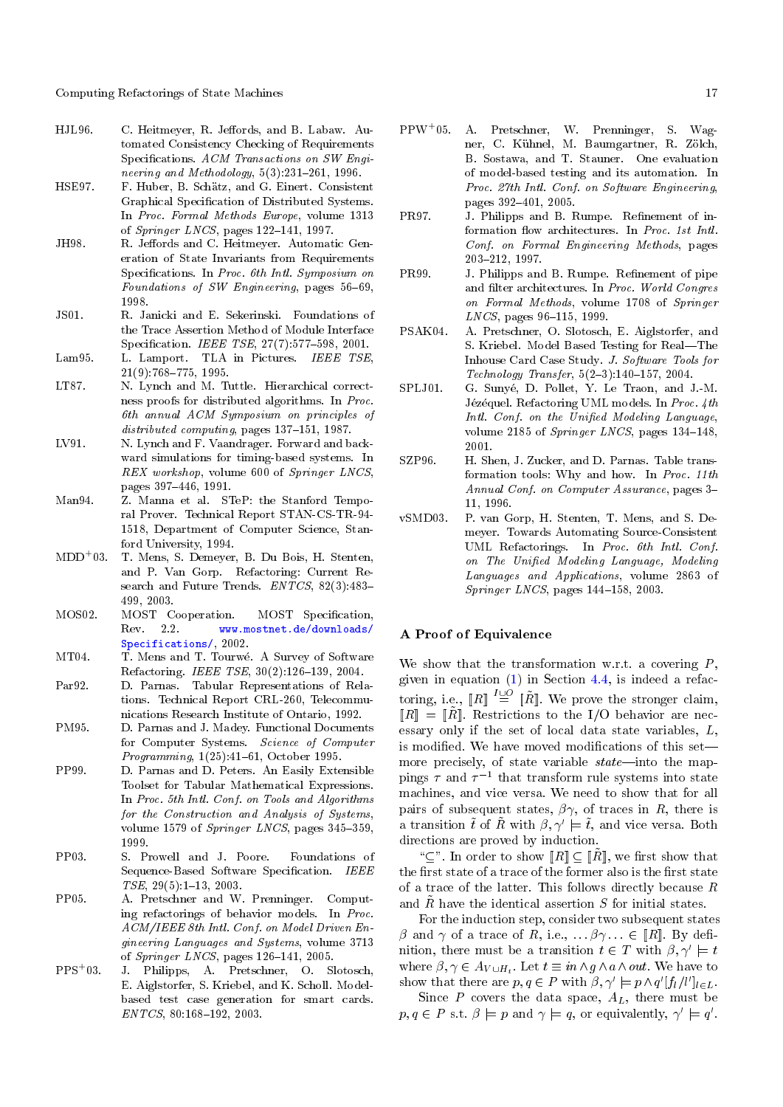- <span id="page-16-8"></span>HJL96. C. Heitmeyer, R. Jeffords, and B. Labaw. Automated Consistency Checking of Requirements Specifications. ACM Transactions on SW Engineering and Methodology,  $5(3):231-261$ , 1996.
- <span id="page-16-4"></span>HSE97. F. Huber, B. Schatz, and G. Einert. Consistent Graphical Specication of Distributed Systems. In Proc. Formal Methods Europe, volume 1313 of  $Springer LNCS$ , pages 122-141, 1997.
- <span id="page-16-24"></span>JH98. R. Jeffords and C. Heitmeyer. Automatic Generation of State Invariants from Requirements Specifications. In Proc. 6th Intl. Symposium on Foundations of SW Engineering, pages  $56-69$ , 1998.
- <span id="page-16-21"></span>JS01. R. Janicki and E. Sekerinski. Foundations of the Trace Assertion Method of Module Interface Specification. IEEE TSE, 27(7):577-598, 2001.
- <span id="page-16-6"></span>Lam95. L. Lamport. TLA in Pictures. IEEE TSE,  $21(9)$ :768-775, 1995.
- <span id="page-16-12"></span>LT87. N. Lynch and M. Tuttle. Hierarchical correctness proofs for distributed algorithms. In Proc. 6th annual ACM Symposium on principles of  $distributed\ computing, pages\ 137–151,$  1987.
- <span id="page-16-22"></span>LV91. N. Lynch and F. Vaandrager. Forward and backward simulations for timing-based systems. In REX workshop, volume 600 of Springer LNCS, pages 397-446, 1991.
- <span id="page-16-23"></span>Man94. Z. Manna et al. STeP: the Stanford Temporal Prover. Technical Report STAN-CS-TR-94- 1518, Department of Computer Science, Stanford University, 1994.
- <span id="page-16-2"></span>MDD<sup>+</sup>03. T. Mens, S. Demeyer, B. Du Bois, H. Stenten, and P. Van Gorp. Refactoring: Current Research and Future Trends.  $ENTCS$ , 82(3):483-499, 2003.
- <span id="page-16-16"></span>MOS02. MOST Cooperation. MOST Specification, Rev. 2.2. [www.mostnet.de/downloads/](www.mostnet.de/downloads/Specifications/) [Specifications/,](www.mostnet.de/downloads/Specifications/) 2002.
- <span id="page-16-3"></span>MT04. T. Mens and T. Tourwé. A Survey of Software Refactoring. IEEE TSE,  $30(2):126-139$ , 2004.
- <span id="page-16-11"></span>Par92. D. Parnas. Tabular Representations of Relations. Technical Report CRL-260, Telecommunications Research Institute of Ontario, 1992.
- <span id="page-16-7"></span>PM95. D. Parnas and J. Madey. Functional Documents for Computer Systems. Science of Computer *Programming*,  $1(25):41-61$ , October 1995.
- <span id="page-16-9"></span>PP99. D. Parnas and D. Peters. An Easily Extensible Toolset for Tabular Mathematical Expressions. In Proc. 5th Intl. Conf. on Tools and Algorithms for the Construction and Analysis of Systems, volume 1579 of *Springer LNCS*, pages  $345-359$ , 1999.
- <span id="page-16-20"></span>PP03. S. Prowell and J. Poore. Foundations of Sequence-Based Software Specification. IEEE TSE,  $29(5):1-13, 2003$ .
- <span id="page-16-17"></span>PP05. A. Pretschner and W. Prenninger. Computing refactorings of behavior models. In Proc. ACM/IEEE 8th Intl. Conf. on Model Driven Engineering Languages and Systems, volume 3713 of Springer LNCS, pages  $126{-}141$ , 2005.
- <span id="page-16-0"></span>PPS<sup>+</sup>03. J. Philipps, A. Pretschner, O. Slotosch, E. Aiglstorfer, S. Kriebel, and K. Scholl. Modelbased test case generation for smart cards.  $ENTCS$ , 80:168-192, 2003.
- <span id="page-16-1"></span>PPW<sup>+</sup>05. A. Pretschner, W. Prenninger, S. Wagner, C. Kuhnel, M. Baumgartner, R. Zolch, B. Sostawa, and T. Stauner. One evaluation of model-based testing and its automation. In Proc. 27th Intl. Conf. on Software Engineering, pages 392-401, 2005.
- <span id="page-16-13"></span>PR97. J. Philipps and B. Rumpe. Refinement of information flow architectures. In Proc. 1st Intl. Conf. on Formal Engineering Methods, pages 203-212, 1997.
- <span id="page-16-14"></span>PR99. J. Philipps and B. Rumpe. Refinement of pipe and filter architectures. In Proc. World Congres on Formal Methods, volume 1708 of Springer  $LNCS$ , pages 96-115, 1999.
- <span id="page-16-5"></span>PSAK04. A. Pretschner, O. Slotosch, E. Aiglstorfer, and S. Kriebel. Model Based Testing for Real-The Inhouse Card Case Study. J. Software Tools for Technology Transfer,  $5(2-3):140-157, 2004$ .
- <span id="page-16-18"></span>SPLJ01. G. Sunye, D. Pollet, Y. Le Traon, and J.-M. Jézéquel. Refactoring UML models. In Proc.  $4th$ Intl. Conf. on the Unified Modeling Language. volume 2185 of *Springer LNCS*, pages  $134-148$ , 2001.
- <span id="page-16-10"></span>SZP96. H. Shen, J. Zucker, and D. Parnas. Table transformation tools: Why and how. In Proc. 11th Annual Conf. on Computer Assurance, pages 3-11, 1996.
- <span id="page-16-19"></span>vSMD03. P. van Gorp, H. Stenten, T. Mens, and S. Demeyer. Towards Automating Source-Consistent UML Refactorings. In Proc. 6th Intl. Conf. on The Unified Modeling Language, Modeling Languages and Applications, volume 2863 of  $Springer LNCS$ , pages 144-158, 2003.

# <span id="page-16-15"></span>A Proof of Equivalence

We show that the transformation w.r.t. a covering  $P$ , given in equation [\(1\)](#page-7-1) in Section [4.4,](#page-6-3) is indeed a refactoring, i.e.,  $\llbracket R \rrbracket \stackrel{I\cup O}{=} \llbracket \tilde{R} \rrbracket$ . We prove the stronger claim,  $\llbracket R \rrbracket = \llbracket \tilde{R} \rrbracket$ . Restrictions to the I/O behavior are necessary only if the set of local data state variables, L, is modified. We have moved modifications of this set more precisely, of state variable  $state$ -into the mappings  $\tau$  and  $\tau^{-1}$  that transform rule systems into state machines, and vice versa. We need to show that for all pairs of subsequent states,  $\beta \gamma$ , of traces in R, there is a transition  $\tilde{t}$  of  $\tilde{R}$  with  $\beta, \gamma' \models \tilde{t}$ , and vice versa. Both directions are proved by induction.

" $\subset$ ". In order to show  $\llbracket R \rrbracket \subset \llbracket R \rrbracket$ , we first show that the first state of a trace of the former also is the first state of a trace of the latter. This follows directly because R and  $\tilde{R}$  have the identical assertion  $S$  for initial states.

For the induction step, consider two subsequent states  $\beta$  and  $\gamma$  of a trace of R, i.e.,  $\ldots \beta \gamma \ldots \in [R]$ . By definition, there must be a transition  $t \in T$  with  $\beta, \gamma' \models t$ where  $\beta, \gamma \in A_{V \cup H_t}$ . Let  $t \equiv in \wedge g \wedge a \wedge out$ . We have to show that there are  $p, q \in P$  with  $\beta, \gamma' \models p \land q'[f_l/l']_{l \in L}$ .

Since  $P$  covers the data space,  $A_L$ , there must be  $p, q \in P$  s.t.  $\beta \models p$  and  $\gamma \models q$ , or equivalently,  $\gamma' \models q'$ .